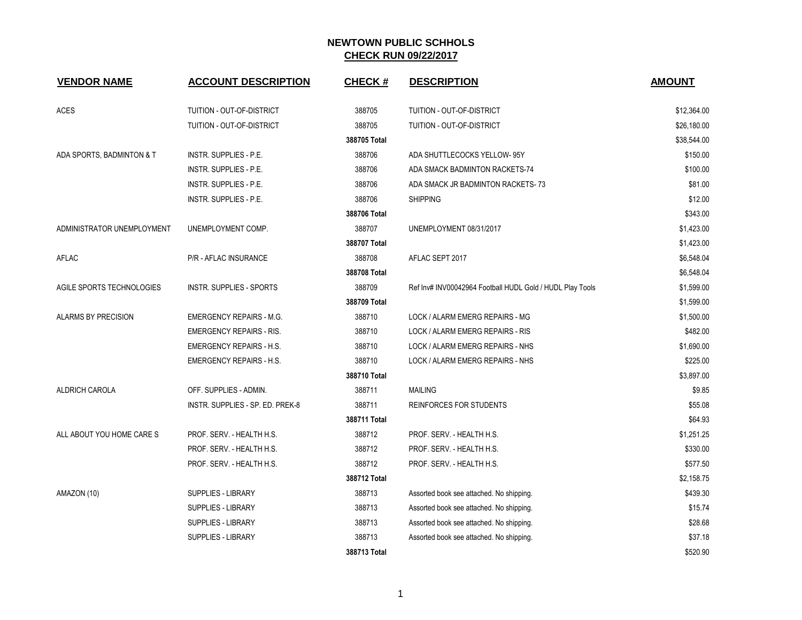| <b>VENDOR NAME</b>         | <b>ACCOUNT DESCRIPTION</b>       | <b>CHECK#</b> | <b>DESCRIPTION</b>                                        | <b>AMOUNT</b> |
|----------------------------|----------------------------------|---------------|-----------------------------------------------------------|---------------|
| <b>ACES</b>                | TUITION - OUT-OF-DISTRICT        | 388705        | TUITION - OUT-OF-DISTRICT                                 | \$12,364.00   |
|                            | TUITION - OUT-OF-DISTRICT        | 388705        | TUITION - OUT-OF-DISTRICT                                 | \$26,180.00   |
|                            |                                  | 388705 Total  |                                                           | \$38,544.00   |
| ADA SPORTS, BADMINTON & T  | INSTR. SUPPLIES - P.E.           | 388706        | ADA SHUTTLECOCKS YELLOW- 95Y                              | \$150.00      |
|                            | INSTR. SUPPLIES - P.E.           | 388706        | ADA SMACK BADMINTON RACKETS-74                            | \$100.00      |
|                            | INSTR. SUPPLIES - P.E.           | 388706        | ADA SMACK JR BADMINTON RACKETS-73                         | \$81.00       |
|                            | INSTR. SUPPLIES - P.E.           | 388706        | <b>SHIPPING</b>                                           | \$12.00       |
|                            |                                  | 388706 Total  |                                                           | \$343.00      |
| ADMINISTRATOR UNEMPLOYMENT | UNEMPLOYMENT COMP.               | 388707        | UNEMPLOYMENT 08/31/2017                                   | \$1,423.00    |
|                            |                                  | 388707 Total  |                                                           | \$1,423.00    |
| AFLAC                      | P/R - AFLAC INSURANCE            | 388708        | AFLAC SEPT 2017                                           | \$6,548.04    |
|                            |                                  | 388708 Total  |                                                           | \$6,548.04    |
| AGILE SPORTS TECHNOLOGIES  | INSTR. SUPPLIES - SPORTS         | 388709        | Ref Inv# INV00042964 Football HUDL Gold / HUDL Play Tools | \$1,599.00    |
|                            |                                  | 388709 Total  |                                                           | \$1,599.00    |
| <b>ALARMS BY PRECISION</b> | <b>EMERGENCY REPAIRS - M.G.</b>  | 388710        | LOCK / ALARM EMERG REPAIRS - MG                           | \$1,500.00    |
|                            | <b>EMERGENCY REPAIRS - RIS.</b>  | 388710        | LOCK / ALARM EMERG REPAIRS - RIS                          | \$482.00      |
|                            | <b>EMERGENCY REPAIRS - H.S.</b>  | 388710        | LOCK / ALARM EMERG REPAIRS - NHS                          | \$1,690.00    |
|                            | <b>EMERGENCY REPAIRS - H.S.</b>  | 388710        | LOCK / ALARM EMERG REPAIRS - NHS                          | \$225.00      |
|                            |                                  | 388710 Total  |                                                           | \$3,897.00    |
| <b>ALDRICH CAROLA</b>      | OFF. SUPPLIES - ADMIN.           | 388711        | <b>MAILING</b>                                            | \$9.85        |
|                            | INSTR. SUPPLIES - SP. ED. PREK-8 | 388711        | REINFORCES FOR STUDENTS                                   | \$55.08       |
|                            |                                  | 388711 Total  |                                                           | \$64.93       |
| ALL ABOUT YOU HOME CARE S  | PROF. SERV. - HEALTH H.S.        | 388712        | PROF. SERV. - HEALTH H.S.                                 | \$1,251.25    |
|                            | PROF. SERV. - HEALTH H.S.        | 388712        | PROF. SERV. - HEALTH H.S.                                 | \$330.00      |
|                            | PROF. SERV. - HEALTH H.S.        | 388712        | PROF. SERV. - HEALTH H.S.                                 | \$577.50      |
|                            |                                  | 388712 Total  |                                                           | \$2,158.75    |
| AMAZON (10)                | SUPPLIES - LIBRARY               | 388713        | Assorted book see attached. No shipping.                  | \$439.30      |
|                            | <b>SUPPLIES - LIBRARY</b>        | 388713        | Assorted book see attached. No shipping.                  | \$15.74       |
|                            | <b>SUPPLIES - LIBRARY</b>        | 388713        | Assorted book see attached. No shipping.                  | \$28.68       |
|                            | <b>SUPPLIES - LIBRARY</b>        | 388713        | Assorted book see attached. No shipping.                  | \$37.18       |
|                            |                                  | 388713 Total  |                                                           | \$520.90      |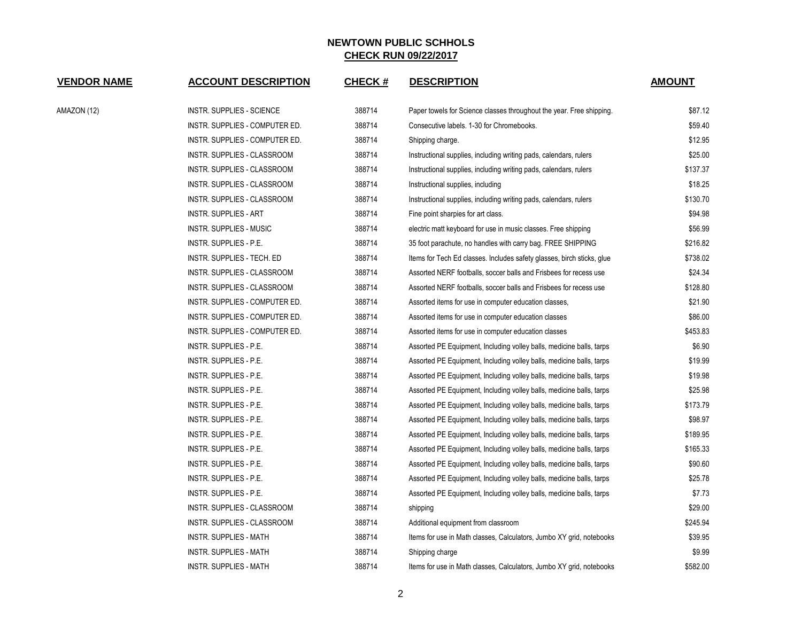| <b>VENDOR NAME</b> | <b>ACCOUNT DESCRIPTION</b>         | <b>CHECK#</b> | <b>DESCRIPTION</b>                                                     | <b>AMOUNT</b> |
|--------------------|------------------------------------|---------------|------------------------------------------------------------------------|---------------|
| AMAZON (12)        | INSTR. SUPPLIES - SCIENCE          | 388714        | Paper towels for Science classes throughout the year. Free shipping.   | \$87.12       |
|                    | INSTR. SUPPLIES - COMPUTER ED.     | 388714        | Consecutive labels, 1-30 for Chromebooks.                              | \$59.40       |
|                    | INSTR. SUPPLIES - COMPUTER ED.     | 388714        | Shipping charge.                                                       | \$12.95       |
|                    | INSTR. SUPPLIES - CLASSROOM        | 388714        | Instructional supplies, including writing pads, calendars, rulers      | \$25.00       |
|                    | <b>INSTR. SUPPLIES - CLASSROOM</b> | 388714        | Instructional supplies, including writing pads, calendars, rulers      | \$137.37      |
|                    | INSTR. SUPPLIES - CLASSROOM        | 388714        | Instructional supplies, including                                      | \$18.25       |
|                    | INSTR. SUPPLIES - CLASSROOM        | 388714        | Instructional supplies, including writing pads, calendars, rulers      | \$130.70      |
|                    | <b>INSTR. SUPPLIES - ART</b>       | 388714        | Fine point sharpies for art class.                                     | \$94.98       |
|                    | INSTR. SUPPLIES - MUSIC            | 388714        | electric matt keyboard for use in music classes. Free shipping         | \$56.99       |
|                    | INSTR. SUPPLIES - P.E.             | 388714        | 35 foot parachute, no handles with carry bag. FREE SHIPPING            | \$216.82      |
|                    | INSTR. SUPPLIES - TECH. ED         | 388714        | Items for Tech Ed classes. Includes safety glasses, birch sticks, glue | \$738.02      |
|                    | INSTR. SUPPLIES - CLASSROOM        | 388714        | Assorted NERF footballs, soccer balls and Frisbees for recess use      | \$24.34       |
|                    | INSTR. SUPPLIES - CLASSROOM        | 388714        | Assorted NERF footballs, soccer balls and Frisbees for recess use      | \$128.80      |
|                    | INSTR. SUPPLIES - COMPUTER ED.     | 388714        | Assorted items for use in computer education classes,                  | \$21.90       |
|                    | INSTR. SUPPLIES - COMPUTER ED.     | 388714        | Assorted items for use in computer education classes                   | \$86.00       |
|                    | INSTR. SUPPLIES - COMPUTER ED.     | 388714        | Assorted items for use in computer education classes                   | \$453.83      |
|                    | INSTR. SUPPLIES - P.E.             | 388714        | Assorted PE Equipment, Including volley balls, medicine balls, tarps   | \$6.90        |
|                    | INSTR. SUPPLIES - P.E.             | 388714        | Assorted PE Equipment, Including volley balls, medicine balls, tarps   | \$19.99       |
|                    | INSTR. SUPPLIES - P.E.             | 388714        | Assorted PE Equipment, Including volley balls, medicine balls, tarps   | \$19.98       |
|                    | INSTR. SUPPLIES - P.E.             | 388714        | Assorted PE Equipment, Including volley balls, medicine balls, tarps   | \$25.98       |
|                    | INSTR. SUPPLIES - P.E.             | 388714        | Assorted PE Equipment, Including volley balls, medicine balls, tarps   | \$173.79      |
|                    | INSTR. SUPPLIES - P.E.             | 388714        | Assorted PE Equipment, Including volley balls, medicine balls, tarps   | \$98.97       |
|                    | INSTR. SUPPLIES - P.E.             | 388714        | Assorted PE Equipment, Including volley balls, medicine balls, tarps   | \$189.95      |
|                    | INSTR. SUPPLIES - P.E.             | 388714        | Assorted PE Equipment, Including volley balls, medicine balls, tarps   | \$165.33      |
|                    | INSTR. SUPPLIES - P.E.             | 388714        | Assorted PE Equipment, Including volley balls, medicine balls, tarps   | \$90.60       |
|                    | INSTR. SUPPLIES - P.E.             | 388714        | Assorted PE Equipment, Including volley balls, medicine balls, tarps   | \$25.78       |
|                    | INSTR. SUPPLIES - P.E.             | 388714        | Assorted PE Equipment, Including volley balls, medicine balls, tarps   | \$7.73        |
|                    | INSTR. SUPPLIES - CLASSROOM        | 388714        | shipping                                                               | \$29.00       |
|                    | INSTR. SUPPLIES - CLASSROOM        | 388714        | Additional equipment from classroom                                    | \$245.94      |
|                    | INSTR. SUPPLIES - MATH             | 388714        | Items for use in Math classes, Calculators, Jumbo XY grid, notebooks   | \$39.95       |
|                    | INSTR. SUPPLIES - MATH             | 388714        | Shipping charge                                                        | \$9.99        |
|                    | <b>INSTR. SUPPLIES - MATH</b>      | 388714        | Items for use in Math classes, Calculators, Jumbo XY grid, notebooks   | \$582.00      |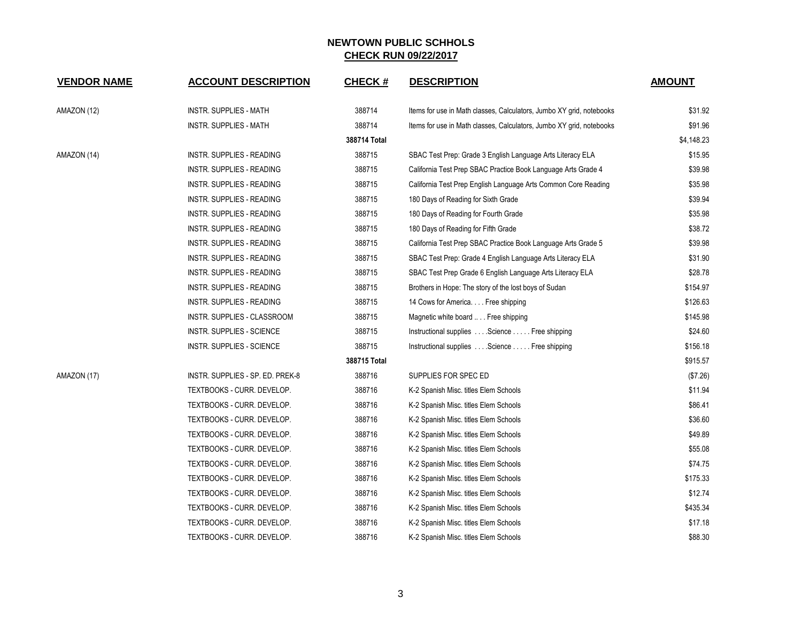| <b>VENDOR NAME</b> | <b>ACCOUNT DESCRIPTION</b>       | <b>CHECK#</b> | <b>DESCRIPTION</b>                                                   | <b>AMOUNT</b> |
|--------------------|----------------------------------|---------------|----------------------------------------------------------------------|---------------|
| AMAZON (12)        | INSTR. SUPPLIES - MATH           | 388714        | Items for use in Math classes, Calculators, Jumbo XY grid, notebooks | \$31.92       |
|                    | INSTR. SUPPLIES - MATH           | 388714        | Items for use in Math classes, Calculators, Jumbo XY grid, notebooks | \$91.96       |
|                    |                                  | 388714 Total  |                                                                      | \$4,148.23    |
| AMAZON (14)        | INSTR. SUPPLIES - READING        | 388715        | SBAC Test Prep: Grade 3 English Language Arts Literacy ELA           | \$15.95       |
|                    | INSTR. SUPPLIES - READING        | 388715        | California Test Prep SBAC Practice Book Language Arts Grade 4        | \$39.98       |
|                    | INSTR. SUPPLIES - READING        | 388715        | California Test Prep English Language Arts Common Core Reading       | \$35.98       |
|                    | INSTR. SUPPLIES - READING        | 388715        | 180 Days of Reading for Sixth Grade                                  | \$39.94       |
|                    | INSTR. SUPPLIES - READING        | 388715        | 180 Days of Reading for Fourth Grade                                 | \$35.98       |
|                    | INSTR. SUPPLIES - READING        | 388715        | 180 Days of Reading for Fifth Grade                                  | \$38.72       |
|                    | INSTR. SUPPLIES - READING        | 388715        | California Test Prep SBAC Practice Book Language Arts Grade 5        | \$39.98       |
|                    | <b>INSTR. SUPPLIES - READING</b> | 388715        | SBAC Test Prep: Grade 4 English Language Arts Literacy ELA           | \$31.90       |
|                    | INSTR. SUPPLIES - READING        | 388715        | SBAC Test Prep Grade 6 English Language Arts Literacy ELA            | \$28.78       |
|                    | INSTR. SUPPLIES - READING        | 388715        | Brothers in Hope: The story of the lost boys of Sudan                | \$154.97      |
|                    | INSTR. SUPPLIES - READING        | 388715        | 14 Cows for America. Free shipping                                   | \$126.63      |
|                    | INSTR. SUPPLIES - CLASSROOM      | 388715        | Magnetic white board  Free shipping                                  | \$145.98      |
|                    | INSTR. SUPPLIES - SCIENCE        | 388715        | Instructional supplies Science Free shipping                         | \$24.60       |
|                    | INSTR. SUPPLIES - SCIENCE        | 388715        | Instructional supplies Science Free shipping                         | \$156.18      |
|                    |                                  | 388715 Total  |                                                                      | \$915.57      |
| AMAZON (17)        | INSTR. SUPPLIES - SP. ED. PREK-8 | 388716        | SUPPLIES FOR SPEC ED                                                 | (\$7.26)      |
|                    | TEXTBOOKS - CURR. DEVELOP.       | 388716        | K-2 Spanish Misc. titles Elem Schools                                | \$11.94       |
|                    | TEXTBOOKS - CURR. DEVELOP.       | 388716        | K-2 Spanish Misc. titles Elem Schools                                | \$86.41       |
|                    | TEXTBOOKS - CURR. DEVELOP.       | 388716        | K-2 Spanish Misc. titles Elem Schools                                | \$36.60       |
|                    | TEXTBOOKS - CURR. DEVELOP.       | 388716        | K-2 Spanish Misc. titles Elem Schools                                | \$49.89       |
|                    | TEXTBOOKS - CURR. DEVELOP.       | 388716        | K-2 Spanish Misc. titles Elem Schools                                | \$55.08       |
|                    | TEXTBOOKS - CURR. DEVELOP.       | 388716        | K-2 Spanish Misc. titles Elem Schools                                | \$74.75       |
|                    | TEXTBOOKS - CURR. DEVELOP.       | 388716        | K-2 Spanish Misc. titles Elem Schools                                | \$175.33      |
|                    | TEXTBOOKS - CURR. DEVELOP.       | 388716        | K-2 Spanish Misc. titles Elem Schools                                | \$12.74       |
|                    | TEXTBOOKS - CURR. DEVELOP.       | 388716        | K-2 Spanish Misc. titles Elem Schools                                | \$435.34      |
|                    | TEXTBOOKS - CURR. DEVELOP.       | 388716        | K-2 Spanish Misc. titles Elem Schools                                | \$17.18       |
|                    | TEXTBOOKS - CURR. DEVELOP.       | 388716        | K-2 Spanish Misc. titles Elem Schools                                | \$88.30       |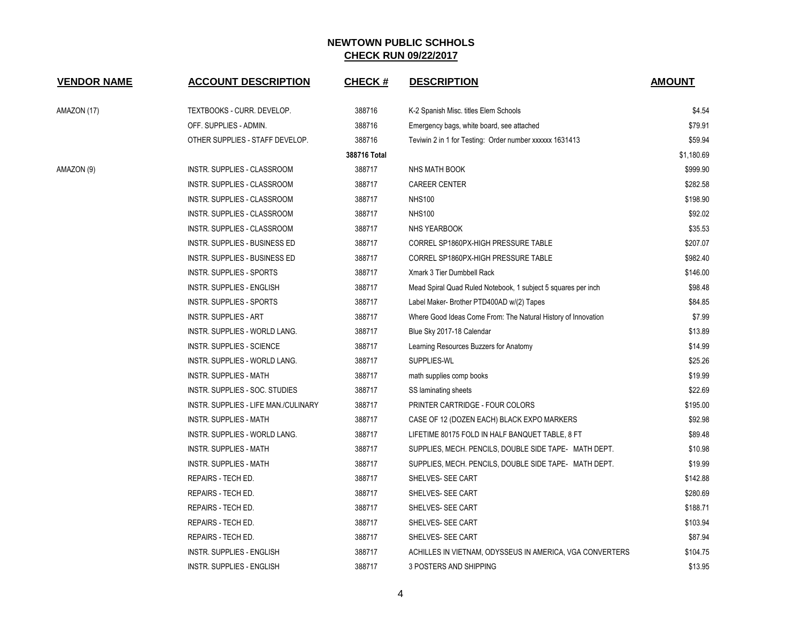| <b>VENDOR NAME</b> | <b>ACCOUNT DESCRIPTION</b>           | <b>CHECK#</b> | <b>DESCRIPTION</b>                                            | <b>AMOUNT</b> |
|--------------------|--------------------------------------|---------------|---------------------------------------------------------------|---------------|
| AMAZON (17)        | TEXTBOOKS - CURR. DEVELOP.           | 388716        | K-2 Spanish Misc. titles Elem Schools                         | \$4.54        |
|                    | OFF. SUPPLIES - ADMIN.               | 388716        | Emergency bags, white board, see attached                     | \$79.91       |
|                    | OTHER SUPPLIES - STAFF DEVELOP.      | 388716        | Teviwin 2 in 1 for Testing: Order number xxxxxx 1631413       | \$59.94       |
|                    |                                      | 388716 Total  |                                                               | \$1,180.69    |
| AMAZON (9)         | INSTR. SUPPLIES - CLASSROOM          | 388717        | NHS MATH BOOK                                                 | \$999.90      |
|                    | INSTR. SUPPLIES - CLASSROOM          | 388717        | <b>CAREER CENTER</b>                                          | \$282.58      |
|                    | INSTR. SUPPLIES - CLASSROOM          | 388717        | <b>NHS100</b>                                                 | \$198.90      |
|                    | INSTR. SUPPLIES - CLASSROOM          | 388717        | <b>NHS100</b>                                                 | \$92.02       |
|                    | INSTR. SUPPLIES - CLASSROOM          | 388717        | NHS YEARBOOK                                                  | \$35.53       |
|                    | INSTR. SUPPLIES - BUSINESS ED        | 388717        | CORREL SP1860PX-HIGH PRESSURE TABLE                           | \$207.07      |
|                    | INSTR. SUPPLIES - BUSINESS ED        | 388717        | CORREL SP1860PX-HIGH PRESSURE TABLE                           | \$982.40      |
|                    | INSTR. SUPPLIES - SPORTS             | 388717        | Xmark 3 Tier Dumbbell Rack                                    | \$146.00      |
|                    | <b>INSTR. SUPPLIES - ENGLISH</b>     | 388717        | Mead Spiral Quad Ruled Notebook, 1 subject 5 squares per inch | \$98.48       |
|                    | <b>INSTR. SUPPLIES - SPORTS</b>      | 388717        | Label Maker- Brother PTD400AD w/(2) Tapes                     | \$84.85       |
|                    | <b>INSTR. SUPPLIES - ART</b>         | 388717        | Where Good Ideas Come From: The Natural History of Innovation | \$7.99        |
|                    | INSTR. SUPPLIES - WORLD LANG.        | 388717        | Blue Sky 2017-18 Calendar                                     | \$13.89       |
|                    | <b>INSTR. SUPPLIES - SCIENCE</b>     | 388717        | Learning Resources Buzzers for Anatomy                        | \$14.99       |
|                    | INSTR. SUPPLIES - WORLD LANG.        | 388717        | SUPPLIES-WL                                                   | \$25.26       |
|                    | <b>INSTR. SUPPLIES - MATH</b>        | 388717        | math supplies comp books                                      | \$19.99       |
|                    | INSTR. SUPPLIES - SOC. STUDIES       | 388717        | SS laminating sheets                                          | \$22.69       |
|                    | INSTR. SUPPLIES - LIFE MAN./CULINARY | 388717        | PRINTER CARTRIDGE - FOUR COLORS                               | \$195.00      |
|                    | INSTR. SUPPLIES - MATH               | 388717        | CASE OF 12 (DOZEN EACH) BLACK EXPO MARKERS                    | \$92.98       |
|                    | INSTR. SUPPLIES - WORLD LANG.        | 388717        | LIFETIME 80175 FOLD IN HALF BANQUET TABLE, 8 FT               | \$89.48       |
|                    | <b>INSTR. SUPPLIES - MATH</b>        | 388717        | SUPPLIES, MECH. PENCILS, DOUBLE SIDE TAPE- MATH DEPT.         | \$10.98       |
|                    | <b>INSTR. SUPPLIES - MATH</b>        | 388717        | SUPPLIES, MECH. PENCILS, DOUBLE SIDE TAPE- MATH DEPT.         | \$19.99       |
|                    | REPAIRS - TECH ED.                   | 388717        | SHELVES- SEE CART                                             | \$142.88      |
|                    | REPAIRS - TECH ED.                   | 388717        | SHELVES- SEE CART                                             | \$280.69      |
|                    | REPAIRS - TECH ED.                   | 388717        | SHELVES- SEE CART                                             | \$188.71      |
|                    | REPAIRS - TECH ED.                   | 388717        | SHELVES- SEE CART                                             | \$103.94      |
|                    | REPAIRS - TECH ED.                   | 388717        | SHELVES- SEE CART                                             | \$87.94       |
|                    | <b>INSTR. SUPPLIES - ENGLISH</b>     | 388717        | ACHILLES IN VIETNAM, ODYSSEUS IN AMERICA, VGA CONVERTERS      | \$104.75      |
|                    | <b>INSTR. SUPPLIES - ENGLISH</b>     | 388717        | 3 POSTERS AND SHIPPING                                        | \$13.95       |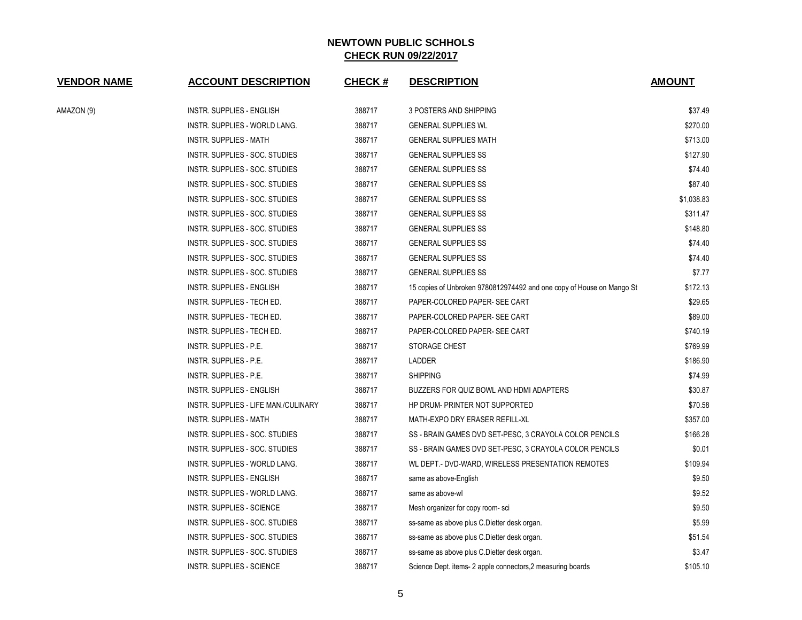| <b>VENDOR NAME</b> | <b>ACCOUNT DESCRIPTION</b>           | <b>CHECK#</b> | <b>DESCRIPTION</b>                                                    | <b>AMOUNT</b> |
|--------------------|--------------------------------------|---------------|-----------------------------------------------------------------------|---------------|
| AMAZON (9)         | <b>INSTR. SUPPLIES - ENGLISH</b>     | 388717        | 3 POSTERS AND SHIPPING                                                | \$37.49       |
|                    | INSTR. SUPPLIES - WORLD LANG.        | 388717        | <b>GENERAL SUPPLIES WL</b>                                            | \$270.00      |
|                    | INSTR. SUPPLIES - MATH               | 388717        | <b>GENERAL SUPPLIES MATH</b>                                          | \$713.00      |
|                    | INSTR. SUPPLIES - SOC. STUDIES       | 388717        | <b>GENERAL SUPPLIES SS</b>                                            | \$127.90      |
|                    | INSTR. SUPPLIES - SOC. STUDIES       | 388717        | <b>GENERAL SUPPLIES SS</b>                                            | \$74.40       |
|                    | INSTR. SUPPLIES - SOC. STUDIES       | 388717        | <b>GENERAL SUPPLIES SS</b>                                            | \$87.40       |
|                    | INSTR. SUPPLIES - SOC. STUDIES       | 388717        | <b>GENERAL SUPPLIES SS</b>                                            | \$1,038.83    |
|                    | INSTR. SUPPLIES - SOC. STUDIES       | 388717        | <b>GENERAL SUPPLIES SS</b>                                            | \$311.47      |
|                    | INSTR. SUPPLIES - SOC. STUDIES       | 388717        | <b>GENERAL SUPPLIES SS</b>                                            | \$148.80      |
|                    | INSTR. SUPPLIES - SOC. STUDIES       | 388717        | <b>GENERAL SUPPLIES SS</b>                                            | \$74.40       |
|                    | INSTR. SUPPLIES - SOC. STUDIES       | 388717        | <b>GENERAL SUPPLIES SS</b>                                            | \$74.40       |
|                    | INSTR. SUPPLIES - SOC. STUDIES       | 388717        | <b>GENERAL SUPPLIES SS</b>                                            | \$7.77        |
|                    | INSTR. SUPPLIES - ENGLISH            | 388717        | 15 copies of Unbroken 9780812974492 and one copy of House on Mango St | \$172.13      |
|                    | INSTR. SUPPLIES - TECH ED.           | 388717        | PAPER-COLORED PAPER- SEE CART                                         | \$29.65       |
|                    | INSTR. SUPPLIES - TECH ED.           | 388717        | PAPER-COLORED PAPER- SEE CART                                         | \$89.00       |
|                    | INSTR. SUPPLIES - TECH ED.           | 388717        | PAPER-COLORED PAPER- SEE CART                                         | \$740.19      |
|                    | INSTR. SUPPLIES - P.E.               | 388717        | STORAGE CHEST                                                         | \$769.99      |
|                    | INSTR. SUPPLIES - P.E.               | 388717        | LADDER                                                                | \$186.90      |
|                    | INSTR. SUPPLIES - P.E.               | 388717        | <b>SHIPPING</b>                                                       | \$74.99       |
|                    | INSTR. SUPPLIES - ENGLISH            | 388717        | BUZZERS FOR QUIZ BOWL AND HDMI ADAPTERS                               | \$30.87       |
|                    | INSTR. SUPPLIES - LIFE MAN./CULINARY | 388717        | HP DRUM- PRINTER NOT SUPPORTED                                        | \$70.58       |
|                    | INSTR. SUPPLIES - MATH               | 388717        | MATH-EXPO DRY ERASER REFILL-XL                                        | \$357.00      |
|                    | INSTR. SUPPLIES - SOC. STUDIES       | 388717        | SS - BRAIN GAMES DVD SET-PESC, 3 CRAYOLA COLOR PENCILS                | \$166.28      |
|                    | INSTR. SUPPLIES - SOC. STUDIES       | 388717        | SS - BRAIN GAMES DVD SET-PESC, 3 CRAYOLA COLOR PENCILS                | \$0.01        |
|                    | INSTR. SUPPLIES - WORLD LANG.        | 388717        | WL DEPT.- DVD-WARD, WIRELESS PRESENTATION REMOTES                     | \$109.94      |
|                    | INSTR. SUPPLIES - ENGLISH            | 388717        | same as above-English                                                 | \$9.50        |
|                    | INSTR. SUPPLIES - WORLD LANG.        | 388717        | same as above-wl                                                      | \$9.52        |
|                    | INSTR. SUPPLIES - SCIENCE            | 388717        | Mesh organizer for copy room-sci                                      | \$9.50        |
|                    | INSTR. SUPPLIES - SOC. STUDIES       | 388717        | ss-same as above plus C. Dietter desk organ.                          | \$5.99        |
|                    | INSTR. SUPPLIES - SOC. STUDIES       | 388717        | ss-same as above plus C.Dietter desk organ.                           | \$51.54       |
|                    | INSTR. SUPPLIES - SOC. STUDIES       | 388717        | ss-same as above plus C. Dietter desk organ.                          | \$3.47        |
|                    | INSTR. SUPPLIES - SCIENCE            | 388717        | Science Dept. items-2 apple connectors, 2 measuring boards            | \$105.10      |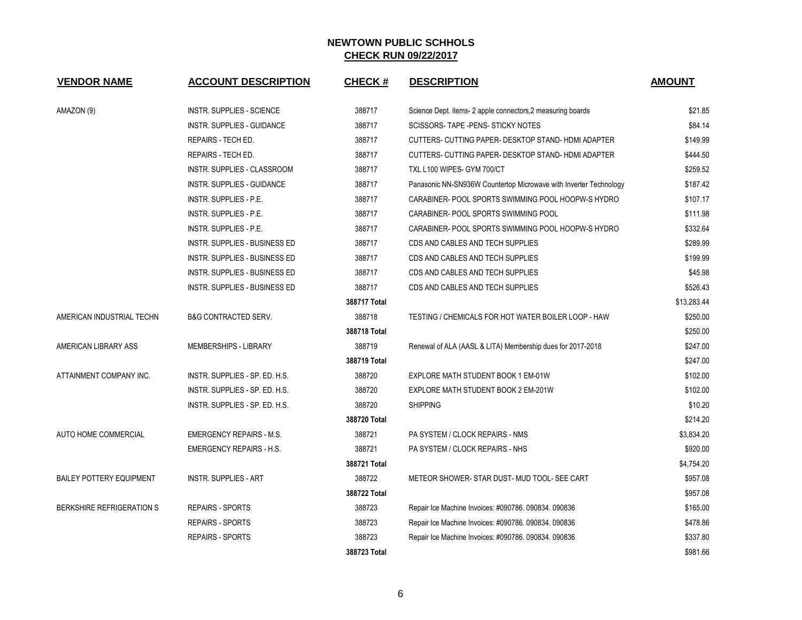| <b>VENDOR NAME</b>              | <b>ACCOUNT DESCRIPTION</b>           | <b>CHECK#</b> | <b>DESCRIPTION</b>                                                | <b>AMOUNT</b> |
|---------------------------------|--------------------------------------|---------------|-------------------------------------------------------------------|---------------|
| AMAZON (9)                      | <b>INSTR. SUPPLIES - SCIENCE</b>     | 388717        | Science Dept. items-2 apple connectors, 2 measuring boards        | \$21.85       |
|                                 | INSTR. SUPPLIES - GUIDANCE           | 388717        | SCISSORS-TAPE - PENS- STICKY NOTES                                | \$84.14       |
|                                 | REPAIRS - TECH ED.                   | 388717        | CUTTERS- CUTTING PAPER- DESKTOP STAND-HDMI ADAPTER                | \$149.99      |
|                                 | REPAIRS - TECH ED.                   | 388717        | CUTTERS- CUTTING PAPER- DESKTOP STAND-HDMI ADAPTER                | \$444.50      |
|                                 | INSTR. SUPPLIES - CLASSROOM          | 388717        | TXL L100 WIPES- GYM 700/CT                                        | \$259.52      |
|                                 | INSTR. SUPPLIES - GUIDANCE           | 388717        | Panasonic NN-SN936W Countertop Microwave with Inverter Technology | \$187.42      |
|                                 | INSTR. SUPPLIES - P.E.               | 388717        | CARABINER- POOL SPORTS SWIMMING POOL HOOPW-S HYDRO                | \$107.17      |
|                                 | INSTR. SUPPLIES - P.E.               | 388717        | CARABINER- POOL SPORTS SWIMMING POOL                              | \$111.98      |
|                                 | INSTR. SUPPLIES - P.E.               | 388717        | CARABINER- POOL SPORTS SWIMMING POOL HOOPW-S HYDRO                | \$332.64      |
|                                 | INSTR. SUPPLIES - BUSINESS ED        | 388717        | CDS AND CABLES AND TECH SUPPLIES                                  | \$289.99      |
|                                 | <b>INSTR. SUPPLIES - BUSINESS ED</b> | 388717        | CDS AND CABLES AND TECH SUPPLIES                                  | \$199.99      |
|                                 | INSTR. SUPPLIES - BUSINESS ED        | 388717        | CDS AND CABLES AND TECH SUPPLIES                                  | \$45.98       |
|                                 | INSTR. SUPPLIES - BUSINESS ED        | 388717        | CDS AND CABLES AND TECH SUPPLIES                                  | \$526.43      |
|                                 |                                      | 388717 Total  |                                                                   | \$13,283.44   |
| AMERICAN INDUSTRIAL TECHN       | <b>B&amp;G CONTRACTED SERV.</b>      | 388718        | TESTING / CHEMICALS FOR HOT WATER BOILER LOOP - HAW               | \$250.00      |
|                                 |                                      | 388718 Total  |                                                                   | \$250.00      |
| AMERICAN LIBRARY ASS            | MEMBERSHIPS - LIBRARY                | 388719        | Renewal of ALA (AASL & LITA) Membership dues for 2017-2018        | \$247.00      |
|                                 |                                      | 388719 Total  |                                                                   | \$247.00      |
| ATTAINMENT COMPANY INC.         | INSTR. SUPPLIES - SP. ED. H.S.       | 388720        | EXPLORE MATH STUDENT BOOK 1 EM-01W                                | \$102.00      |
|                                 | INSTR. SUPPLIES - SP. ED. H.S.       | 388720        | EXPLORE MATH STUDENT BOOK 2 EM-201W                               | \$102.00      |
|                                 | INSTR. SUPPLIES - SP. ED. H.S.       | 388720        | <b>SHIPPING</b>                                                   | \$10.20       |
|                                 |                                      | 388720 Total  |                                                                   | \$214.20      |
| AUTO HOME COMMERCIAL            | <b>EMERGENCY REPAIRS - M.S.</b>      | 388721        | PA SYSTEM / CLOCK REPAIRS - NMS                                   | \$3,834.20    |
|                                 | <b>EMERGENCY REPAIRS - H.S.</b>      | 388721        | PA SYSTEM / CLOCK REPAIRS - NHS                                   | \$920.00      |
|                                 |                                      | 388721 Total  |                                                                   | \$4,754.20    |
| <b>BAILEY POTTERY EQUIPMENT</b> | <b>INSTR. SUPPLIES - ART</b>         | 388722        | METEOR SHOWER- STAR DUST- MUD TOOL- SEE CART                      | \$957.08      |
|                                 |                                      | 388722 Total  |                                                                   | \$957.08      |
| BERKSHIRE REFRIGERATION S       | <b>REPAIRS - SPORTS</b>              | 388723        | Repair Ice Machine Invoices: #090786. 090834. 090836              | \$165.00      |
|                                 | <b>REPAIRS - SPORTS</b>              | 388723        | Repair Ice Machine Invoices: #090786. 090834. 090836              | \$478.86      |
|                                 | <b>REPAIRS - SPORTS</b>              | 388723        | Repair Ice Machine Invoices: #090786. 090834. 090836              | \$337.80      |
|                                 |                                      | 388723 Total  |                                                                   | \$981.66      |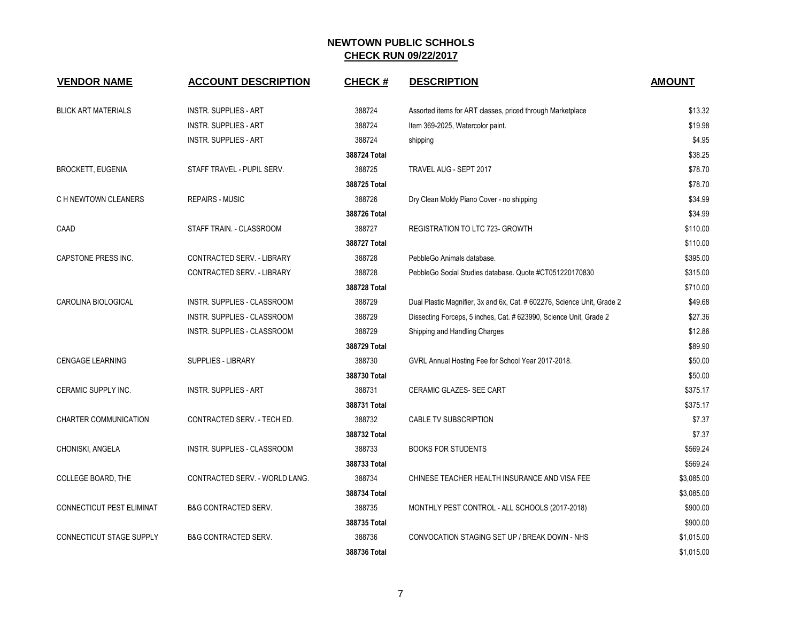| <b>VENDOR NAME</b>               | <b>ACCOUNT DESCRIPTION</b>      | <b>CHECK#</b> | <b>DESCRIPTION</b>                                                      | <b>AMOUNT</b> |
|----------------------------------|---------------------------------|---------------|-------------------------------------------------------------------------|---------------|
| <b>BLICK ART MATERIALS</b>       | <b>INSTR. SUPPLIES - ART</b>    | 388724        | Assorted items for ART classes, priced through Marketplace              | \$13.32       |
|                                  | <b>INSTR. SUPPLIES - ART</b>    | 388724        | Item 369-2025, Watercolor paint.                                        | \$19.98       |
|                                  | <b>INSTR. SUPPLIES - ART</b>    | 388724        | shipping                                                                | \$4.95        |
|                                  |                                 | 388724 Total  |                                                                         | \$38.25       |
| <b>BROCKETT, EUGENIA</b>         | STAFF TRAVEL - PUPIL SERV.      | 388725        | TRAVEL AUG - SEPT 2017                                                  | \$78.70       |
|                                  |                                 | 388725 Total  |                                                                         | \$78.70       |
| C H NEWTOWN CLEANERS             | <b>REPAIRS - MUSIC</b>          | 388726        | Dry Clean Moldy Piano Cover - no shipping                               | \$34.99       |
|                                  |                                 | 388726 Total  |                                                                         | \$34.99       |
| CAAD                             | STAFF TRAIN. - CLASSROOM        | 388727        | REGISTRATION TO LTC 723- GROWTH                                         | \$110.00      |
|                                  |                                 | 388727 Total  |                                                                         | \$110.00      |
| CAPSTONE PRESS INC.              | CONTRACTED SERV. - LIBRARY      | 388728        | PebbleGo Animals database.                                              | \$395.00      |
|                                  | CONTRACTED SERV. - LIBRARY      | 388728        | PebbleGo Social Studies database. Quote #CT051220170830                 | \$315.00      |
|                                  |                                 | 388728 Total  |                                                                         | \$710.00      |
| CAROLINA BIOLOGICAL              | INSTR. SUPPLIES - CLASSROOM     | 388729        | Dual Plastic Magnifier, 3x and 6x, Cat. # 602276, Science Unit, Grade 2 | \$49.68       |
|                                  | INSTR. SUPPLIES - CLASSROOM     | 388729        | Dissecting Forceps, 5 inches, Cat. # 623990, Science Unit, Grade 2      | \$27.36       |
|                                  | INSTR. SUPPLIES - CLASSROOM     | 388729        | Shipping and Handling Charges                                           | \$12.86       |
|                                  |                                 | 388729 Total  |                                                                         | \$89.90       |
| <b>CENGAGE LEARNING</b>          | <b>SUPPLIES - LIBRARY</b>       | 388730        | GVRL Annual Hosting Fee for School Year 2017-2018.                      | \$50.00       |
|                                  |                                 | 388730 Total  |                                                                         | \$50.00       |
| CERAMIC SUPPLY INC.              | <b>INSTR. SUPPLIES - ART</b>    | 388731        | <b>CERAMIC GLAZES- SEE CART</b>                                         | \$375.17      |
|                                  |                                 | 388731 Total  |                                                                         | \$375.17      |
| CHARTER COMMUNICATION            | CONTRACTED SERV. - TECH ED.     | 388732        | CABLE TV SUBSCRIPTION                                                   | \$7.37        |
|                                  |                                 | 388732 Total  |                                                                         | \$7.37        |
| CHONISKI, ANGELA                 | INSTR. SUPPLIES - CLASSROOM     | 388733        | <b>BOOKS FOR STUDENTS</b>                                               | \$569.24      |
|                                  |                                 | 388733 Total  |                                                                         | \$569.24      |
| COLLEGE BOARD, THE               | CONTRACTED SERV. - WORLD LANG.  | 388734        | CHINESE TEACHER HEALTH INSURANCE AND VISA FEE                           | \$3,085.00    |
|                                  |                                 | 388734 Total  |                                                                         | \$3,085.00    |
| <b>CONNECTICUT PEST ELIMINAT</b> | <b>B&amp;G CONTRACTED SERV.</b> | 388735        | MONTHLY PEST CONTROL - ALL SCHOOLS (2017-2018)                          | \$900.00      |
|                                  |                                 | 388735 Total  |                                                                         | \$900.00      |
| CONNECTICUT STAGE SUPPLY         | <b>B&amp;G CONTRACTED SERV.</b> | 388736        | CONVOCATION STAGING SET UP / BREAK DOWN - NHS                           | \$1,015.00    |
|                                  |                                 | 388736 Total  |                                                                         | \$1,015.00    |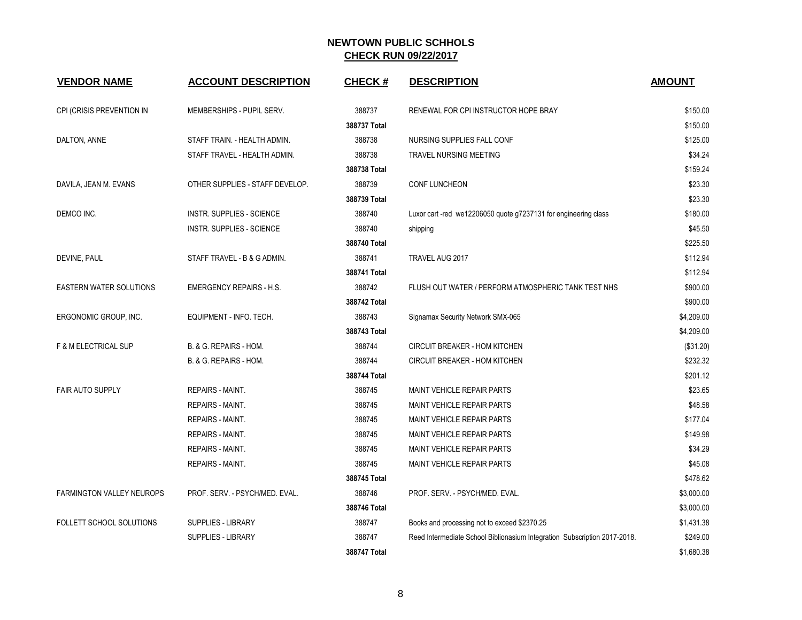| <b>VENDOR NAME</b>               | <b>ACCOUNT DESCRIPTION</b>      | <b>CHECK#</b> | <b>DESCRIPTION</b>                                                        | <b>AMOUNT</b> |
|----------------------------------|---------------------------------|---------------|---------------------------------------------------------------------------|---------------|
| CPI (CRISIS PREVENTION IN        | MEMBERSHIPS - PUPIL SERV.       | 388737        | RENEWAL FOR CPI INSTRUCTOR HOPE BRAY                                      | \$150.00      |
|                                  |                                 | 388737 Total  |                                                                           | \$150.00      |
| DALTON, ANNE                     | STAFF TRAIN. - HEALTH ADMIN.    | 388738        | NURSING SUPPLIES FALL CONF                                                | \$125.00      |
|                                  | STAFF TRAVEL - HEALTH ADMIN.    | 388738        | TRAVEL NURSING MEETING                                                    | \$34.24       |
|                                  |                                 | 388738 Total  |                                                                           | \$159.24      |
| DAVILA, JEAN M. EVANS            | OTHER SUPPLIES - STAFF DEVELOP. | 388739        | CONF LUNCHEON                                                             | \$23.30       |
|                                  |                                 | 388739 Total  |                                                                           | \$23.30       |
| DEMCO INC.                       | INSTR. SUPPLIES - SCIENCE       | 388740        | Luxor cart-red we12206050 quote g7237131 for engineering class            | \$180.00      |
|                                  | INSTR. SUPPLIES - SCIENCE       | 388740        | shipping                                                                  | \$45.50       |
|                                  |                                 | 388740 Total  |                                                                           | \$225.50      |
| DEVINE, PAUL                     | STAFF TRAVEL - B & G ADMIN.     | 388741        | TRAVEL AUG 2017                                                           | \$112.94      |
|                                  |                                 | 388741 Total  |                                                                           | \$112.94      |
| <b>EASTERN WATER SOLUTIONS</b>   | <b>EMERGENCY REPAIRS - H.S.</b> | 388742        | FLUSH OUT WATER / PERFORM ATMOSPHERIC TANK TEST NHS                       | \$900.00      |
|                                  |                                 | 388742 Total  |                                                                           | \$900.00      |
| ERGONOMIC GROUP, INC.            | EQUIPMENT - INFO. TECH.         | 388743        | Signamax Security Network SMX-065                                         | \$4,209.00    |
|                                  |                                 | 388743 Total  |                                                                           | \$4,209.00    |
| <b>F &amp; M ELECTRICAL SUP</b>  | B. & G. REPAIRS - HOM.          | 388744        | <b>CIRCUIT BREAKER - HOM KITCHEN</b>                                      | (\$31.20)     |
|                                  | B. & G. REPAIRS - HOM.          | 388744        | CIRCUIT BREAKER - HOM KITCHEN                                             | \$232.32      |
|                                  |                                 | 388744 Total  |                                                                           | \$201.12      |
| <b>FAIR AUTO SUPPLY</b>          | REPAIRS - MAINT.                | 388745        | MAINT VEHICLE REPAIR PARTS                                                | \$23.65       |
|                                  | REPAIRS - MAINT.                | 388745        | <b>MAINT VEHICLE REPAIR PARTS</b>                                         | \$48.58       |
|                                  | <b>REPAIRS - MAINT.</b>         | 388745        | MAINT VEHICLE REPAIR PARTS                                                | \$177.04      |
|                                  | <b>REPAIRS - MAINT.</b>         | 388745        | MAINT VEHICLE REPAIR PARTS                                                | \$149.98      |
|                                  | REPAIRS - MAINT.                | 388745        | <b>MAINT VEHICLE REPAIR PARTS</b>                                         | \$34.29       |
|                                  | <b>REPAIRS - MAINT.</b>         | 388745        | MAINT VEHICLE REPAIR PARTS                                                | \$45.08       |
|                                  |                                 | 388745 Total  |                                                                           | \$478.62      |
| <b>FARMINGTON VALLEY NEUROPS</b> | PROF. SERV. - PSYCH/MED. EVAL.  | 388746        | PROF. SERV. - PSYCH/MED. EVAL.                                            | \$3,000.00    |
|                                  |                                 | 388746 Total  |                                                                           | \$3,000.00    |
| FOLLETT SCHOOL SOLUTIONS         | <b>SUPPLIES - LIBRARY</b>       | 388747        | Books and processing not to exceed \$2370.25                              | \$1,431.38    |
|                                  | <b>SUPPLIES - LIBRARY</b>       | 388747        | Reed Intermediate School Biblionasium Integration Subscription 2017-2018. | \$249.00      |
|                                  |                                 | 388747 Total  |                                                                           | \$1,680.38    |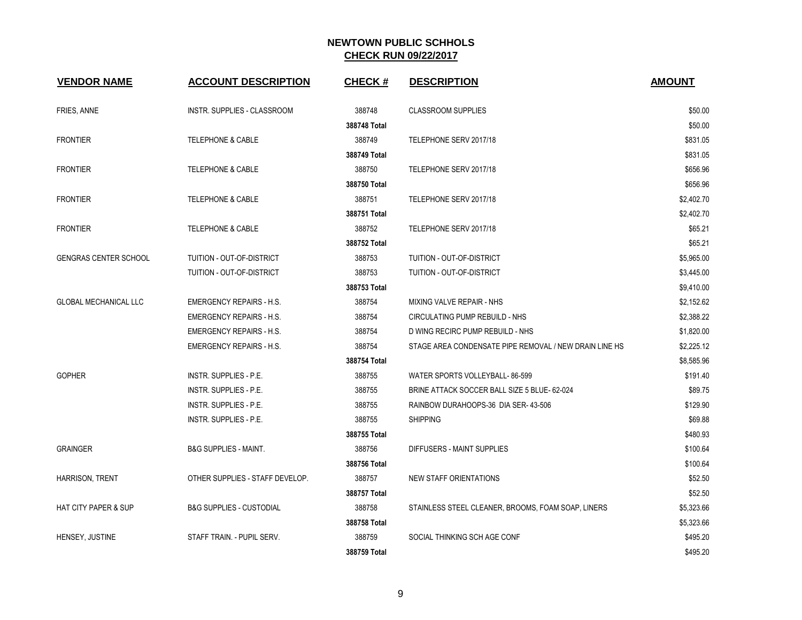| <b>VENDOR NAME</b>              | <b>ACCOUNT DESCRIPTION</b>          | <b>CHECK#</b> | <b>DESCRIPTION</b>                                     | <b>AMOUNT</b> |
|---------------------------------|-------------------------------------|---------------|--------------------------------------------------------|---------------|
| FRIES, ANNE                     | INSTR. SUPPLIES - CLASSROOM         | 388748        | <b>CLASSROOM SUPPLIES</b>                              | \$50.00       |
|                                 |                                     | 388748 Total  |                                                        | \$50.00       |
| <b>FRONTIER</b>                 | TELEPHONE & CABLE                   | 388749        | TELEPHONE SERV 2017/18                                 | \$831.05      |
|                                 |                                     | 388749 Total  |                                                        | \$831.05      |
| <b>FRONTIER</b>                 | <b>TELEPHONE &amp; CABLE</b>        | 388750        | TELEPHONE SERV 2017/18                                 | \$656.96      |
|                                 |                                     | 388750 Total  |                                                        | \$656.96      |
| <b>FRONTIER</b>                 | <b>TELEPHONE &amp; CABLE</b>        | 388751        | TELEPHONE SERV 2017/18                                 | \$2,402.70    |
|                                 |                                     | 388751 Total  |                                                        | \$2,402.70    |
| <b>FRONTIER</b>                 | <b>TELEPHONE &amp; CABLE</b>        | 388752        | TELEPHONE SERV 2017/18                                 | \$65.21       |
|                                 |                                     | 388752 Total  |                                                        | \$65.21       |
| <b>GENGRAS CENTER SCHOOL</b>    | TUITION - OUT-OF-DISTRICT           | 388753        | TUITION - OUT-OF-DISTRICT                              | \$5,965.00    |
|                                 | TUITION - OUT-OF-DISTRICT           | 388753        | TUITION - OUT-OF-DISTRICT                              | \$3,445.00    |
|                                 |                                     | 388753 Total  |                                                        | \$9,410.00    |
| <b>GLOBAL MECHANICAL LLC</b>    | <b>EMERGENCY REPAIRS - H.S.</b>     | 388754        | MIXING VALVE REPAIR - NHS                              | \$2,152.62    |
|                                 | <b>EMERGENCY REPAIRS - H.S.</b>     | 388754        | CIRCULATING PUMP REBUILD - NHS                         | \$2,388.22    |
|                                 | <b>EMERGENCY REPAIRS - H.S.</b>     | 388754        | D WING RECIRC PUMP REBUILD - NHS                       | \$1,820.00    |
|                                 | <b>EMERGENCY REPAIRS - H.S.</b>     | 388754        | STAGE AREA CONDENSATE PIPE REMOVAL / NEW DRAIN LINE HS | \$2,225.12    |
|                                 |                                     | 388754 Total  |                                                        | \$8,585.96    |
| <b>GOPHER</b>                   | INSTR. SUPPLIES - P.E.              | 388755        | WATER SPORTS VOLLEYBALL-86-599                         | \$191.40      |
|                                 | INSTR. SUPPLIES - P.E.              | 388755        | BRINE ATTACK SOCCER BALL SIZE 5 BLUE- 62-024           | \$89.75       |
|                                 | INSTR. SUPPLIES - P.E.              | 388755        | RAINBOW DURAHOOPS-36 DIA SER- 43-506                   | \$129.90      |
|                                 | INSTR. SUPPLIES - P.E.              | 388755        | <b>SHIPPING</b>                                        | \$69.88       |
|                                 |                                     | 388755 Total  |                                                        | \$480.93      |
| <b>GRAINGER</b>                 | <b>B&amp;G SUPPLIES - MAINT.</b>    | 388756        | DIFFUSERS - MAINT SUPPLIES                             | \$100.64      |
|                                 |                                     | 388756 Total  |                                                        | \$100.64      |
| HARRISON, TRENT                 | OTHER SUPPLIES - STAFF DEVELOP.     | 388757        | NEW STAFF ORIENTATIONS                                 | \$52.50       |
|                                 |                                     | 388757 Total  |                                                        | \$52.50       |
| <b>HAT CITY PAPER &amp; SUP</b> | <b>B&amp;G SUPPLIES - CUSTODIAL</b> | 388758        | STAINLESS STEEL CLEANER, BROOMS, FOAM SOAP, LINERS     | \$5,323.66    |
|                                 |                                     | 388758 Total  |                                                        | \$5,323.66    |
| HENSEY, JUSTINE                 | STAFF TRAIN. - PUPIL SERV.          | 388759        | SOCIAL THINKING SCH AGE CONF                           | \$495.20      |
|                                 |                                     | 388759 Total  |                                                        | \$495.20      |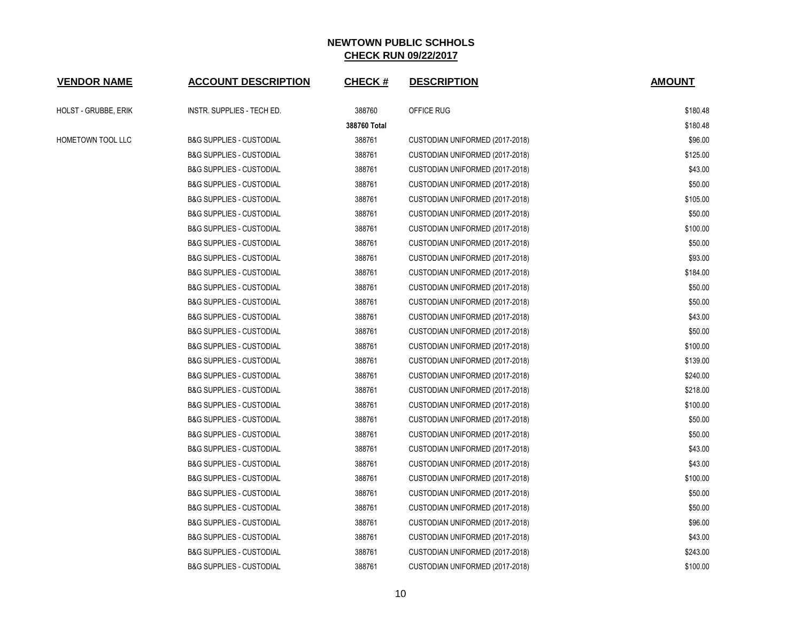| <b>VENDOR NAME</b>   | <b>ACCOUNT DESCRIPTION</b>          | <b>CHECK#</b> | <b>DESCRIPTION</b>              | <b>AMOUNT</b> |
|----------------------|-------------------------------------|---------------|---------------------------------|---------------|
| HOLST - GRUBBE, ERIK | INSTR. SUPPLIES - TECH ED.          | 388760        | OFFICE RUG                      | \$180.48      |
|                      |                                     | 388760 Total  |                                 | \$180.48      |
| HOMETOWN TOOL LLC    | <b>B&amp;G SUPPLIES - CUSTODIAL</b> | 388761        | CUSTODIAN UNIFORMED (2017-2018) | \$96.00       |
|                      | <b>B&amp;G SUPPLIES - CUSTODIAL</b> | 388761        | CUSTODIAN UNIFORMED (2017-2018) | \$125.00      |
|                      | <b>B&amp;G SUPPLIES - CUSTODIAL</b> | 388761        | CUSTODIAN UNIFORMED (2017-2018) | \$43.00       |
|                      | <b>B&amp;G SUPPLIES - CUSTODIAL</b> | 388761        | CUSTODIAN UNIFORMED (2017-2018) | \$50.00       |
|                      | <b>B&amp;G SUPPLIES - CUSTODIAL</b> | 388761        | CUSTODIAN UNIFORMED (2017-2018) | \$105.00      |
|                      | <b>B&amp;G SUPPLIES - CUSTODIAL</b> | 388761        | CUSTODIAN UNIFORMED (2017-2018) | \$50.00       |
|                      | <b>B&amp;G SUPPLIES - CUSTODIAL</b> | 388761        | CUSTODIAN UNIFORMED (2017-2018) | \$100.00      |
|                      | <b>B&amp;G SUPPLIES - CUSTODIAL</b> | 388761        | CUSTODIAN UNIFORMED (2017-2018) | \$50.00       |
|                      | <b>B&amp;G SUPPLIES - CUSTODIAL</b> | 388761        | CUSTODIAN UNIFORMED (2017-2018) | \$93.00       |
|                      | <b>B&amp;G SUPPLIES - CUSTODIAL</b> | 388761        | CUSTODIAN UNIFORMED (2017-2018) | \$184.00      |
|                      | <b>B&amp;G SUPPLIES - CUSTODIAL</b> | 388761        | CUSTODIAN UNIFORMED (2017-2018) | \$50.00       |
|                      | <b>B&amp;G SUPPLIES - CUSTODIAL</b> | 388761        | CUSTODIAN UNIFORMED (2017-2018) | \$50.00       |
|                      | <b>B&amp;G SUPPLIES - CUSTODIAL</b> | 388761        | CUSTODIAN UNIFORMED (2017-2018) | \$43.00       |
|                      | <b>B&amp;G SUPPLIES - CUSTODIAL</b> | 388761        | CUSTODIAN UNIFORMED (2017-2018) | \$50.00       |
|                      | <b>B&amp;G SUPPLIES - CUSTODIAL</b> | 388761        | CUSTODIAN UNIFORMED (2017-2018) | \$100.00      |
|                      | <b>B&amp;G SUPPLIES - CUSTODIAL</b> | 388761        | CUSTODIAN UNIFORMED (2017-2018) | \$139.00      |
|                      | <b>B&amp;G SUPPLIES - CUSTODIAL</b> | 388761        | CUSTODIAN UNIFORMED (2017-2018) | \$240.00      |
|                      | <b>B&amp;G SUPPLIES - CUSTODIAL</b> | 388761        | CUSTODIAN UNIFORMED (2017-2018) | \$218.00      |
|                      | <b>B&amp;G SUPPLIES - CUSTODIAL</b> | 388761        | CUSTODIAN UNIFORMED (2017-2018) | \$100.00      |
|                      | <b>B&amp;G SUPPLIES - CUSTODIAL</b> | 388761        | CUSTODIAN UNIFORMED (2017-2018) | \$50.00       |
|                      | <b>B&amp;G SUPPLIES - CUSTODIAL</b> | 388761        | CUSTODIAN UNIFORMED (2017-2018) | \$50.00       |
|                      | <b>B&amp;G SUPPLIES - CUSTODIAL</b> | 388761        | CUSTODIAN UNIFORMED (2017-2018) | \$43.00       |
|                      | <b>B&amp;G SUPPLIES - CUSTODIAL</b> | 388761        | CUSTODIAN UNIFORMED (2017-2018) | \$43.00       |
|                      | <b>B&amp;G SUPPLIES - CUSTODIAL</b> | 388761        | CUSTODIAN UNIFORMED (2017-2018) | \$100.00      |
|                      | <b>B&amp;G SUPPLIES - CUSTODIAL</b> | 388761        | CUSTODIAN UNIFORMED (2017-2018) | \$50.00       |
|                      | <b>B&amp;G SUPPLIES - CUSTODIAL</b> | 388761        | CUSTODIAN UNIFORMED (2017-2018) | \$50.00       |
|                      | <b>B&amp;G SUPPLIES - CUSTODIAL</b> | 388761        | CUSTODIAN UNIFORMED (2017-2018) | \$96.00       |
|                      | <b>B&amp;G SUPPLIES - CUSTODIAL</b> | 388761        | CUSTODIAN UNIFORMED (2017-2018) | \$43.00       |
|                      | <b>B&amp;G SUPPLIES - CUSTODIAL</b> | 388761        | CUSTODIAN UNIFORMED (2017-2018) | \$243.00      |
|                      | <b>B&amp;G SUPPLIES - CUSTODIAL</b> | 388761        | CUSTODIAN UNIFORMED (2017-2018) | \$100.00      |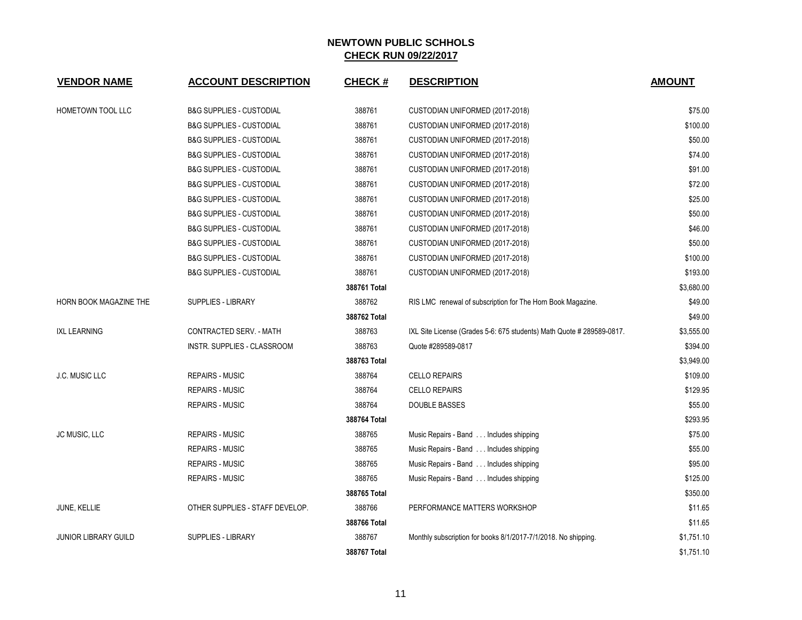| <b>VENDOR NAME</b>          | <b>ACCOUNT DESCRIPTION</b>          | <b>CHECK#</b> | <b>DESCRIPTION</b>                                                    | <b>AMOUNT</b> |
|-----------------------------|-------------------------------------|---------------|-----------------------------------------------------------------------|---------------|
|                             |                                     |               |                                                                       |               |
| HOMETOWN TOOL LLC           | <b>B&amp;G SUPPLIES - CUSTODIAL</b> | 388761        | CUSTODIAN UNIFORMED (2017-2018)                                       | \$75.00       |
|                             | <b>B&amp;G SUPPLIES - CUSTODIAL</b> | 388761        | CUSTODIAN UNIFORMED (2017-2018)                                       | \$100.00      |
|                             | <b>B&amp;G SUPPLIES - CUSTODIAL</b> | 388761        | CUSTODIAN UNIFORMED (2017-2018)                                       | \$50.00       |
|                             | <b>B&amp;G SUPPLIES - CUSTODIAL</b> | 388761        | CUSTODIAN UNIFORMED (2017-2018)                                       | \$74.00       |
|                             | <b>B&amp;G SUPPLIES - CUSTODIAL</b> | 388761        | CUSTODIAN UNIFORMED (2017-2018)                                       | \$91.00       |
|                             | <b>B&amp;G SUPPLIES - CUSTODIAL</b> | 388761        | CUSTODIAN UNIFORMED (2017-2018)                                       | \$72.00       |
|                             | <b>B&amp;G SUPPLIES - CUSTODIAL</b> | 388761        | CUSTODIAN UNIFORMED (2017-2018)                                       | \$25.00       |
|                             | <b>B&amp;G SUPPLIES - CUSTODIAL</b> | 388761        | CUSTODIAN UNIFORMED (2017-2018)                                       | \$50.00       |
|                             | <b>B&amp;G SUPPLIES - CUSTODIAL</b> | 388761        | CUSTODIAN UNIFORMED (2017-2018)                                       | \$46.00       |
|                             | <b>B&amp;G SUPPLIES - CUSTODIAL</b> | 388761        | CUSTODIAN UNIFORMED (2017-2018)                                       | \$50.00       |
|                             | <b>B&amp;G SUPPLIES - CUSTODIAL</b> | 388761        | CUSTODIAN UNIFORMED (2017-2018)                                       | \$100.00      |
|                             | <b>B&amp;G SUPPLIES - CUSTODIAL</b> | 388761        | CUSTODIAN UNIFORMED (2017-2018)                                       | \$193.00      |
|                             |                                     | 388761 Total  |                                                                       | \$3,680.00    |
| HORN BOOK MAGAZINE THE      | SUPPLIES - LIBRARY                  | 388762        | RIS LMC renewal of subscription for The Horn Book Magazine.           | \$49.00       |
|                             |                                     | 388762 Total  |                                                                       | \$49.00       |
| <b>IXL LEARNING</b>         | CONTRACTED SERV. - MATH             | 388763        | IXL Site License (Grades 5-6: 675 students) Math Quote # 289589-0817. | \$3,555.00    |
|                             | INSTR. SUPPLIES - CLASSROOM         | 388763        | Quote #289589-0817                                                    | \$394.00      |
|                             |                                     | 388763 Total  |                                                                       | \$3,949.00    |
| <b>J.C. MUSIC LLC</b>       | <b>REPAIRS - MUSIC</b>              | 388764        | <b>CELLO REPAIRS</b>                                                  | \$109.00      |
|                             | <b>REPAIRS - MUSIC</b>              | 388764        | <b>CELLO REPAIRS</b>                                                  | \$129.95      |
|                             | <b>REPAIRS - MUSIC</b>              | 388764        | DOUBLE BASSES                                                         | \$55.00       |
|                             |                                     | 388764 Total  |                                                                       | \$293.95      |
| JC MUSIC, LLC               | <b>REPAIRS - MUSIC</b>              | 388765        | Music Repairs - Band Includes shipping                                | \$75.00       |
|                             | <b>REPAIRS - MUSIC</b>              | 388765        | Music Repairs - Band Includes shipping                                | \$55.00       |
|                             | <b>REPAIRS - MUSIC</b>              | 388765        | Music Repairs - Band Includes shipping                                | \$95.00       |
|                             | <b>REPAIRS - MUSIC</b>              | 388765        | Music Repairs - Band Includes shipping                                | \$125.00      |
|                             |                                     | 388765 Total  |                                                                       | \$350.00      |
| JUNE, KELLIE                | OTHER SUPPLIES - STAFF DEVELOP.     | 388766        | PERFORMANCE MATTERS WORKSHOP                                          | \$11.65       |
|                             |                                     | 388766 Total  |                                                                       | \$11.65       |
| <b>JUNIOR LIBRARY GUILD</b> | <b>SUPPLIES - LIBRARY</b>           | 388767        | Monthly subscription for books 8/1/2017-7/1/2018. No shipping.        | \$1,751.10    |
|                             |                                     | 388767 Total  |                                                                       | \$1,751.10    |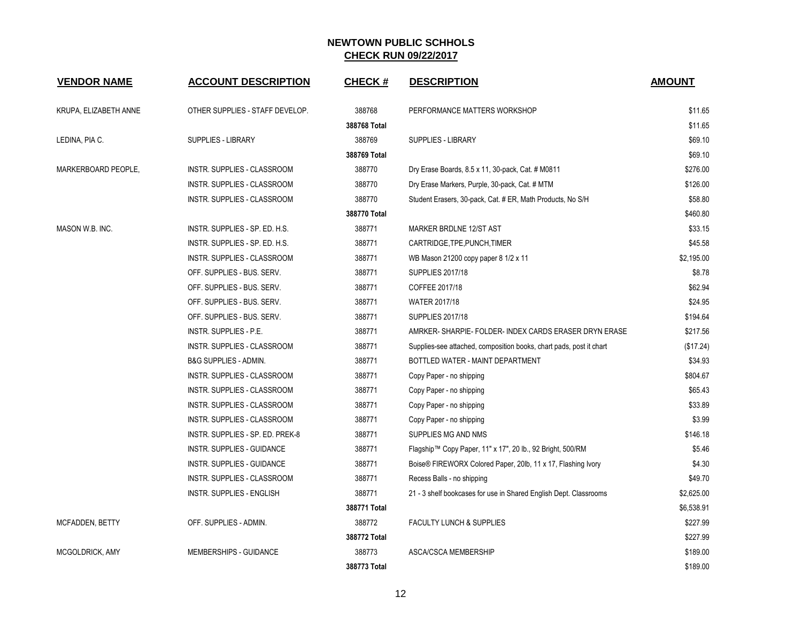| <b>VENDOR NAME</b>    | <b>ACCOUNT DESCRIPTION</b>         | <b>CHECK#</b> | <b>DESCRIPTION</b>                                                  | <b>AMOUNT</b> |
|-----------------------|------------------------------------|---------------|---------------------------------------------------------------------|---------------|
|                       |                                    |               |                                                                     |               |
| KRUPA, ELIZABETH ANNE | OTHER SUPPLIES - STAFF DEVELOP.    | 388768        | PERFORMANCE MATTERS WORKSHOP                                        | \$11.65       |
|                       |                                    | 388768 Total  |                                                                     | \$11.65       |
| LEDINA, PIA C.        | <b>SUPPLIES - LIBRARY</b>          | 388769        | SUPPLIES - LIBRARY                                                  | \$69.10       |
|                       |                                    | 388769 Total  |                                                                     | \$69.10       |
| MARKERBOARD PEOPLE,   | INSTR. SUPPLIES - CLASSROOM        | 388770        | Dry Erase Boards, 8.5 x 11, 30-pack, Cat. # M0811                   | \$276.00      |
|                       | <b>INSTR. SUPPLIES - CLASSROOM</b> | 388770        | Dry Erase Markers, Purple, 30-pack, Cat. # MTM                      | \$126.00      |
|                       | INSTR. SUPPLIES - CLASSROOM        | 388770        | Student Erasers, 30-pack, Cat. # ER, Math Products, No S/H          | \$58.80       |
|                       |                                    | 388770 Total  |                                                                     | \$460.80      |
| MASON W.B. INC.       | INSTR. SUPPLIES - SP. ED. H.S.     | 388771        | MARKER BRDLNE 12/ST AST                                             | \$33.15       |
|                       | INSTR. SUPPLIES - SP. ED. H.S.     | 388771        | CARTRIDGE, TPE, PUNCH, TIMER                                        | \$45.58       |
|                       | <b>INSTR. SUPPLIES - CLASSROOM</b> | 388771        | WB Mason 21200 copy paper 8 1/2 x 11                                | \$2,195.00    |
|                       | OFF. SUPPLIES - BUS. SERV.         | 388771        | <b>SUPPLIES 2017/18</b>                                             | \$8.78        |
|                       | OFF. SUPPLIES - BUS. SERV.         | 388771        | COFFEE 2017/18                                                      | \$62.94       |
|                       | OFF. SUPPLIES - BUS. SERV.         | 388771        | <b>WATER 2017/18</b>                                                | \$24.95       |
|                       | OFF. SUPPLIES - BUS. SERV.         | 388771        | <b>SUPPLIES 2017/18</b>                                             | \$194.64      |
|                       | <b>INSTR. SUPPLIES - P.E.</b>      | 388771        | AMRKER-SHARPIE-FOLDER-INDEX CARDS ERASER DRYN ERASE                 | \$217.56      |
|                       | INSTR. SUPPLIES - CLASSROOM        | 388771        | Supplies-see attached, composition books, chart pads, post it chart | (\$17.24)     |
|                       | <b>B&amp;G SUPPLIES - ADMIN.</b>   | 388771        | BOTTLED WATER - MAINT DEPARTMENT                                    | \$34.93       |
|                       | INSTR. SUPPLIES - CLASSROOM        | 388771        | Copy Paper - no shipping                                            | \$804.67      |
|                       | <b>INSTR. SUPPLIES - CLASSROOM</b> | 388771        | Copy Paper - no shipping                                            | \$65.43       |
|                       | INSTR. SUPPLIES - CLASSROOM        | 388771        | Copy Paper - no shipping                                            | \$33.89       |
|                       | INSTR. SUPPLIES - CLASSROOM        | 388771        | Copy Paper - no shipping                                            | \$3.99        |
|                       | INSTR. SUPPLIES - SP. ED. PREK-8   | 388771        | SUPPLIES MG AND NMS                                                 | \$146.18      |
|                       | INSTR. SUPPLIES - GUIDANCE         | 388771        | Flagship™ Copy Paper, 11" x 17", 20 lb., 92 Bright, 500/RM          | \$5.46        |
|                       | INSTR. SUPPLIES - GUIDANCE         | 388771        | Boise® FIREWORX Colored Paper, 20lb, 11 x 17, Flashing Ivory        | \$4.30        |
|                       | INSTR. SUPPLIES - CLASSROOM        | 388771        | Recess Balls - no shipping                                          | \$49.70       |
|                       | <b>INSTR. SUPPLIES - ENGLISH</b>   | 388771        | 21 - 3 shelf bookcases for use in Shared English Dept. Classrooms   | \$2,625.00    |
|                       |                                    | 388771 Total  |                                                                     | \$6,538.91    |
| MCFADDEN, BETTY       | OFF. SUPPLIES - ADMIN.             | 388772        | <b>FACULTY LUNCH &amp; SUPPLIES</b>                                 | \$227.99      |
|                       |                                    | 388772 Total  |                                                                     | \$227.99      |
| MCGOLDRICK, AMY       | MEMBERSHIPS - GUIDANCE             | 388773        | ASCA/CSCA MEMBERSHIP                                                | \$189.00      |
|                       |                                    | 388773 Total  |                                                                     | \$189.00      |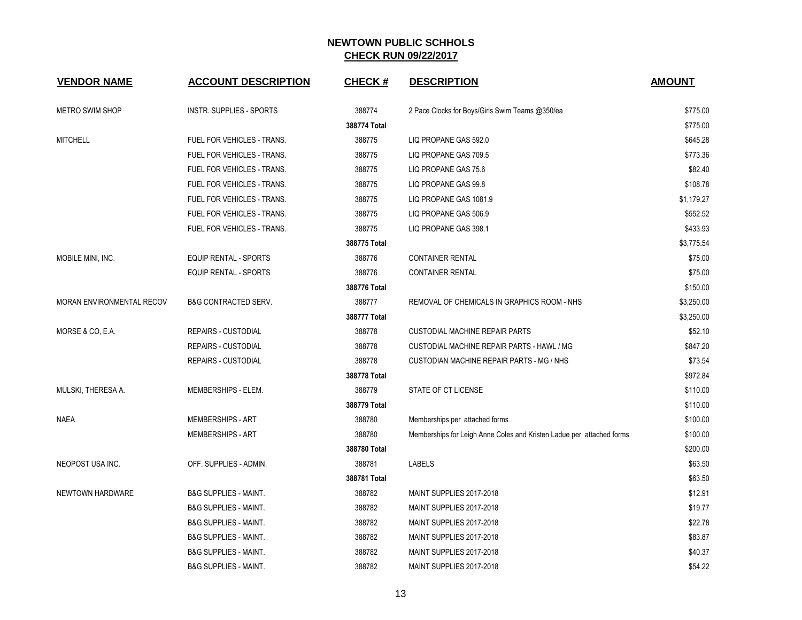| <b>VENDOR NAME</b>        | <b>ACCOUNT DESCRIPTION</b>       | <b>CHECK#</b> | <b>DESCRIPTION</b>                                                    | <b>AMOUNT</b> |
|---------------------------|----------------------------------|---------------|-----------------------------------------------------------------------|---------------|
| <b>METRO SWIM SHOP</b>    | <b>INSTR. SUPPLIES - SPORTS</b>  | 388774        | 2 Pace Clocks for Boys/Girls Swim Teams @350/ea                       | \$775.00      |
|                           |                                  | 388774 Total  |                                                                       | \$775.00      |
| <b>MITCHELL</b>           | FUEL FOR VEHICLES - TRANS.       | 388775        | LIQ PROPANE GAS 592.0                                                 | \$645.28      |
|                           | FUEL FOR VEHICLES - TRANS.       | 388775        | LIQ PROPANE GAS 709.5                                                 | \$773.36      |
|                           | FUEL FOR VEHICLES - TRANS.       | 388775        | LIQ PROPANE GAS 75.6                                                  | \$82.40       |
|                           | FUEL FOR VEHICLES - TRANS.       | 388775        | LIQ PROPANE GAS 99.8                                                  | \$108.78      |
|                           | FUEL FOR VEHICLES - TRANS.       | 388775        | LIQ PROPANE GAS 1081.9                                                | \$1,179.27    |
|                           | FUEL FOR VEHICLES - TRANS.       | 388775        | LIQ PROPANE GAS 506.9                                                 | \$552.52      |
|                           | FUEL FOR VEHICLES - TRANS.       | 388775        | LIQ PROPANE GAS 398.1                                                 | \$433.93      |
|                           |                                  | 388775 Total  |                                                                       | \$3,775.54    |
| MOBILE MINI, INC.         | <b>EQUIP RENTAL - SPORTS</b>     | 388776        | <b>CONTAINER RENTAL</b>                                               | \$75.00       |
|                           | <b>EQUIP RENTAL - SPORTS</b>     | 388776        | <b>CONTAINER RENTAL</b>                                               | \$75.00       |
|                           |                                  | 388776 Total  |                                                                       | \$150.00      |
| MORAN ENVIRONMENTAL RECOV | <b>B&amp;G CONTRACTED SERV.</b>  | 388777        | REMOVAL OF CHEMICALS IN GRAPHICS ROOM - NHS                           | \$3,250.00    |
|                           |                                  | 388777 Total  |                                                                       | \$3,250.00    |
| MORSE & CO, E.A.          | <b>REPAIRS - CUSTODIAL</b>       | 388778        | <b>CUSTODIAL MACHINE REPAIR PARTS</b>                                 | \$52.10       |
|                           | <b>REPAIRS - CUSTODIAL</b>       | 388778        | CUSTODIAL MACHINE REPAIR PARTS - HAWL / MG                            | \$847.20      |
|                           | <b>REPAIRS - CUSTODIAL</b>       | 388778        | CUSTODIAN MACHINE REPAIR PARTS - MG / NHS                             | \$73.54       |
|                           |                                  | 388778 Total  |                                                                       | \$972.84      |
| MULSKI, THERESA A.        | MEMBERSHIPS - ELEM.              | 388779        | STATE OF CT LICENSE                                                   | \$110.00      |
|                           |                                  | 388779 Total  |                                                                       | \$110.00      |
| <b>NAEA</b>               | <b>MEMBERSHIPS - ART</b>         | 388780        | Memberships per attached forms                                        | \$100.00      |
|                           | <b>MEMBERSHIPS - ART</b>         | 388780        | Memberships for Leigh Anne Coles and Kristen Ladue per attached forms | \$100.00      |
|                           |                                  | 388780 Total  |                                                                       | \$200.00      |
| NEOPOST USA INC.          | OFF. SUPPLIES - ADMIN.           | 388781        | LABELS                                                                | \$63.50       |
|                           |                                  | 388781 Total  |                                                                       | \$63.50       |
| NEWTOWN HARDWARE          | <b>B&amp;G SUPPLIES - MAINT.</b> | 388782        | MAINT SUPPLIES 2017-2018                                              | \$12.91       |
|                           | <b>B&amp;G SUPPLIES - MAINT.</b> | 388782        | MAINT SUPPLIES 2017-2018                                              | \$19.77       |
|                           | <b>B&amp;G SUPPLIES - MAINT.</b> | 388782        | MAINT SUPPLIES 2017-2018                                              | \$22.78       |
|                           | <b>B&amp;G SUPPLIES - MAINT.</b> | 388782        | MAINT SUPPLIES 2017-2018                                              | \$83.87       |
|                           | <b>B&amp;G SUPPLIES - MAINT.</b> | 388782        | MAINT SUPPLIES 2017-2018                                              | \$40.37       |
|                           | <b>B&amp;G SUPPLIES - MAINT.</b> | 388782        | MAINT SUPPLIES 2017-2018                                              | \$54.22       |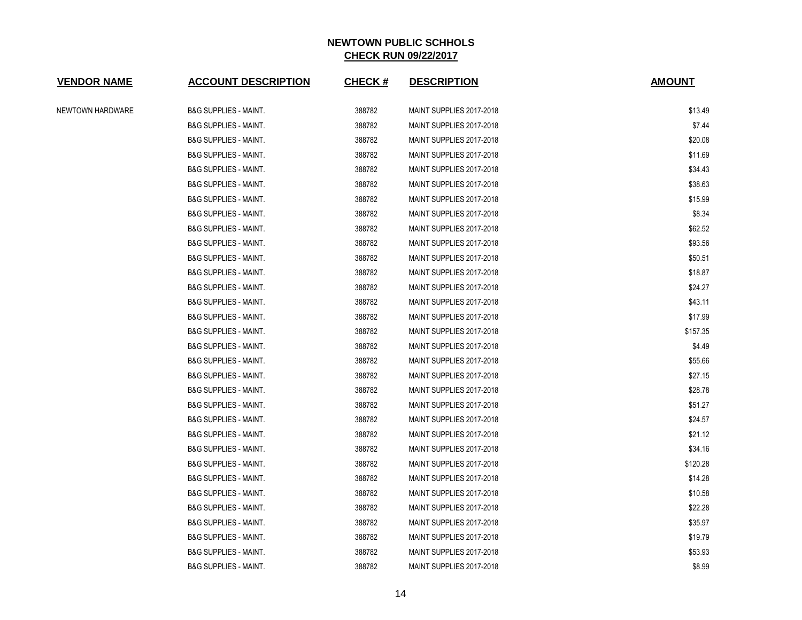| <b>VENDOR NAME</b> | <b>ACCOUNT DESCRIPTION</b>       | <b>CHECK#</b> | <b>DESCRIPTION</b>       | <b>AMOUNT</b> |
|--------------------|----------------------------------|---------------|--------------------------|---------------|
| NEWTOWN HARDWARE   | <b>B&amp;G SUPPLIES - MAINT.</b> | 388782        | MAINT SUPPLIES 2017-2018 | \$13.49       |
|                    | <b>B&amp;G SUPPLIES - MAINT.</b> | 388782        | MAINT SUPPLIES 2017-2018 | \$7.44        |
|                    | <b>B&amp;G SUPPLIES - MAINT.</b> | 388782        | MAINT SUPPLIES 2017-2018 | \$20.08       |
|                    | <b>B&amp;G SUPPLIES - MAINT.</b> | 388782        | MAINT SUPPLIES 2017-2018 | \$11.69       |
|                    | <b>B&amp;G SUPPLIES - MAINT.</b> | 388782        | MAINT SUPPLIES 2017-2018 | \$34.43       |
|                    | <b>B&amp;G SUPPLIES - MAINT.</b> | 388782        | MAINT SUPPLIES 2017-2018 | \$38.63       |
|                    | <b>B&amp;G SUPPLIES - MAINT.</b> | 388782        | MAINT SUPPLIES 2017-2018 | \$15.99       |
|                    | <b>B&amp;G SUPPLIES - MAINT.</b> | 388782        | MAINT SUPPLIES 2017-2018 | \$8.34        |
|                    | <b>B&amp;G SUPPLIES - MAINT.</b> | 388782        | MAINT SUPPLIES 2017-2018 | \$62.52       |
|                    | <b>B&amp;G SUPPLIES - MAINT.</b> | 388782        | MAINT SUPPLIES 2017-2018 | \$93.56       |
|                    | <b>B&amp;G SUPPLIES - MAINT.</b> | 388782        | MAINT SUPPLIES 2017-2018 | \$50.51       |
|                    | <b>B&amp;G SUPPLIES - MAINT.</b> | 388782        | MAINT SUPPLIES 2017-2018 | \$18.87       |
|                    | <b>B&amp;G SUPPLIES - MAINT.</b> | 388782        | MAINT SUPPLIES 2017-2018 | \$24.27       |
|                    | <b>B&amp;G SUPPLIES - MAINT.</b> | 388782        | MAINT SUPPLIES 2017-2018 | \$43.11       |
|                    | <b>B&amp;G SUPPLIES - MAINT.</b> | 388782        | MAINT SUPPLIES 2017-2018 | \$17.99       |
|                    | <b>B&amp;G SUPPLIES - MAINT.</b> | 388782        | MAINT SUPPLIES 2017-2018 | \$157.35      |
|                    | <b>B&amp;G SUPPLIES - MAINT.</b> | 388782        | MAINT SUPPLIES 2017-2018 | \$4.49        |
|                    | <b>B&amp;G SUPPLIES - MAINT.</b> | 388782        | MAINT SUPPLIES 2017-2018 | \$55.66       |
|                    | <b>B&amp;G SUPPLIES - MAINT.</b> | 388782        | MAINT SUPPLIES 2017-2018 | \$27.15       |
|                    | <b>B&amp;G SUPPLIES - MAINT.</b> | 388782        | MAINT SUPPLIES 2017-2018 | \$28.78       |
|                    | <b>B&amp;G SUPPLIES - MAINT.</b> | 388782        | MAINT SUPPLIES 2017-2018 | \$51.27       |
|                    | <b>B&amp;G SUPPLIES - MAINT.</b> | 388782        | MAINT SUPPLIES 2017-2018 | \$24.57       |
|                    | <b>B&amp;G SUPPLIES - MAINT.</b> | 388782        | MAINT SUPPLIES 2017-2018 | \$21.12       |
|                    | <b>B&amp;G SUPPLIES - MAINT.</b> | 388782        | MAINT SUPPLIES 2017-2018 | \$34.16       |
|                    | <b>B&amp;G SUPPLIES - MAINT.</b> | 388782        | MAINT SUPPLIES 2017-2018 | \$120.28      |
|                    | <b>B&amp;G SUPPLIES - MAINT.</b> | 388782        | MAINT SUPPLIES 2017-2018 | \$14.28       |
|                    | <b>B&amp;G SUPPLIES - MAINT.</b> | 388782        | MAINT SUPPLIES 2017-2018 | \$10.58       |
|                    | <b>B&amp;G SUPPLIES - MAINT.</b> | 388782        | MAINT SUPPLIES 2017-2018 | \$22.28       |
|                    | <b>B&amp;G SUPPLIES - MAINT.</b> | 388782        | MAINT SUPPLIES 2017-2018 | \$35.97       |
|                    | <b>B&amp;G SUPPLIES - MAINT.</b> | 388782        | MAINT SUPPLIES 2017-2018 | \$19.79       |
|                    | <b>B&amp;G SUPPLIES - MAINT.</b> | 388782        | MAINT SUPPLIES 2017-2018 | \$53.93       |
|                    | <b>B&amp;G SUPPLIES - MAINT.</b> | 388782        | MAINT SUPPLIES 2017-2018 | \$8.99        |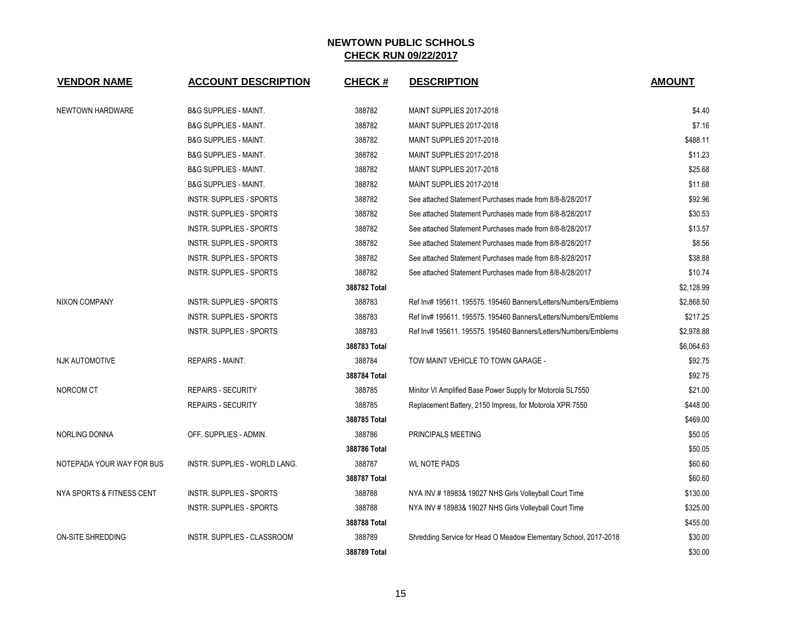| <b>VENDOR NAME</b>        | <b>ACCOUNT DESCRIPTION</b>       | <b>CHECK#</b> | <b>DESCRIPTION</b>                                               | <b>AMOUNT</b> |
|---------------------------|----------------------------------|---------------|------------------------------------------------------------------|---------------|
| NEWTOWN HARDWARE          | <b>B&amp;G SUPPLIES - MAINT.</b> | 388782        | MAINT SUPPLIES 2017-2018                                         | \$4.40        |
|                           | <b>B&amp;G SUPPLIES - MAINT.</b> | 388782        | MAINT SUPPLIES 2017-2018                                         | \$7.16        |
|                           | <b>B&amp;G SUPPLIES - MAINT.</b> | 388782        | MAINT SUPPLIES 2017-2018                                         | \$488.11      |
|                           | <b>B&amp;G SUPPLIES - MAINT.</b> | 388782        | MAINT SUPPLIES 2017-2018                                         | \$11.23       |
|                           | <b>B&amp;G SUPPLIES - MAINT.</b> | 388782        | MAINT SUPPLIES 2017-2018                                         | \$25.68       |
|                           | <b>B&amp;G SUPPLIES - MAINT.</b> | 388782        | MAINT SUPPLIES 2017-2018                                         | \$11.68       |
|                           | <b>INSTR. SUPPLIES - SPORTS</b>  | 388782        | See attached Statement Purchases made from 8/8-8/28/2017         | \$92.96       |
|                           | <b>INSTR. SUPPLIES - SPORTS</b>  | 388782        | See attached Statement Purchases made from 8/8-8/28/2017         | \$30.53       |
|                           | <b>INSTR. SUPPLIES - SPORTS</b>  | 388782        | See attached Statement Purchases made from 8/8-8/28/2017         | \$13.57       |
|                           | INSTR. SUPPLIES - SPORTS         | 388782        | See attached Statement Purchases made from 8/8-8/28/2017         | \$8.56        |
|                           | <b>INSTR. SUPPLIES - SPORTS</b>  | 388782        | See attached Statement Purchases made from 8/8-8/28/2017         | \$38.88       |
|                           | <b>INSTR. SUPPLIES - SPORTS</b>  | 388782        | See attached Statement Purchases made from 8/8-8/28/2017         | \$10.74       |
|                           |                                  | 388782 Total  |                                                                  | \$2,128.99    |
| <b>NIXON COMPANY</b>      | INSTR. SUPPLIES - SPORTS         | 388783        | Ref Inv# 195611. 195575. 195460 Banners/Letters/Numbers/Emblems  | \$2,868.50    |
|                           | <b>INSTR. SUPPLIES - SPORTS</b>  | 388783        | Ref Inv# 195611. 195575. 195460 Banners/Letters/Numbers/Emblems  | \$217.25      |
|                           | INSTR. SUPPLIES - SPORTS         | 388783        | Ref Inv# 195611. 195575. 195460 Banners/Letters/Numbers/Emblems  | \$2,978.88    |
|                           |                                  | 388783 Total  |                                                                  | \$6,064.63    |
| <b>NJK AUTOMOTIVE</b>     | <b>REPAIRS - MAINT.</b>          | 388784        | TOW MAINT VEHICLE TO TOWN GARAGE -                               | \$92.75       |
|                           |                                  | 388784 Total  |                                                                  | \$92.75       |
| NORCOM CT                 | <b>REPAIRS - SECURITY</b>        | 388785        | Minitor VI Amplified Base Power Supply for Motorola SL7550       | \$21.00       |
|                           | <b>REPAIRS - SECURITY</b>        | 388785        | Replacement Battery, 2150 Impress, for Motorola XPR 7550         | \$448.00      |
|                           |                                  | 388785 Total  |                                                                  | \$469.00      |
| NORLING DONNA             | OFF. SUPPLIES - ADMIN.           | 388786        | PRINCIPALS MEETING                                               | \$50.05       |
|                           |                                  | 388786 Total  |                                                                  | \$50.05       |
| NOTEPADA YOUR WAY FOR BUS | INSTR. SUPPLIES - WORLD LANG.    | 388787        | <b>WL NOTE PADS</b>                                              | \$60.60       |
|                           |                                  | 388787 Total  |                                                                  | \$60.60       |
| NYA SPORTS & FITNESS CENT | INSTR. SUPPLIES - SPORTS         | 388788        | NYA INV #18983& 19027 NHS Girls Volleyball Court Time            | \$130.00      |
|                           | <b>INSTR. SUPPLIES - SPORTS</b>  | 388788        | NYA INV #18983& 19027 NHS Girls Volleyball Court Time            | \$325.00      |
|                           |                                  | 388788 Total  |                                                                  | \$455.00      |
| ON-SITE SHREDDING         | INSTR. SUPPLIES - CLASSROOM      | 388789        | Shredding Service for Head O Meadow Elementary School, 2017-2018 | \$30.00       |
|                           |                                  | 388789 Total  |                                                                  | \$30.00       |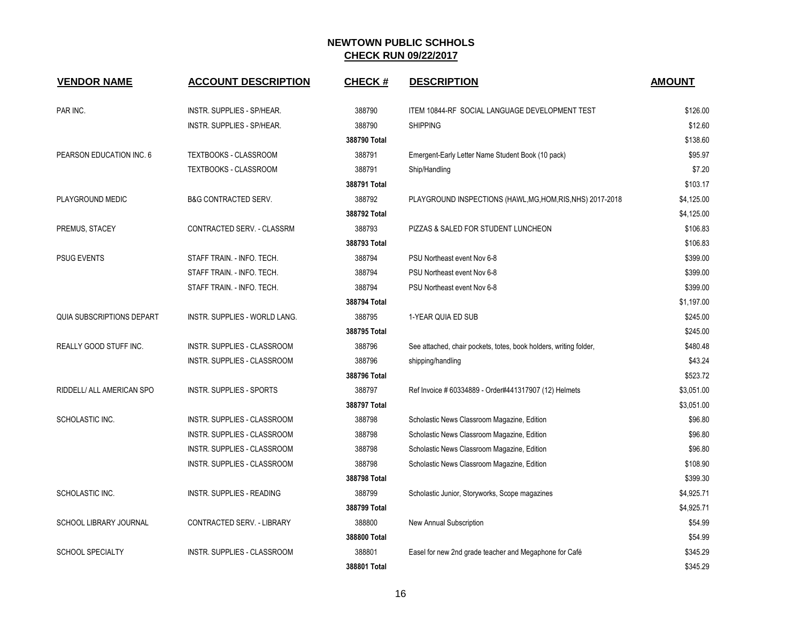| <b>VENDOR NAME</b>            | <b>ACCOUNT DESCRIPTION</b>         | <b>CHECK#</b> | <b>DESCRIPTION</b>                                                | <b>AMOUNT</b> |
|-------------------------------|------------------------------------|---------------|-------------------------------------------------------------------|---------------|
| PAR INC.                      | INSTR. SUPPLIES - SP/HEAR.         | 388790        | ITEM 10844-RF SOCIAL LANGUAGE DEVELOPMENT TEST                    | \$126.00      |
|                               | INSTR. SUPPLIES - SP/HEAR.         | 388790        | <b>SHIPPING</b>                                                   | \$12.60       |
|                               |                                    | 388790 Total  |                                                                   | \$138.60      |
| PEARSON EDUCATION INC. 6      | TEXTBOOKS - CLASSROOM              | 388791        | Emergent-Early Letter Name Student Book (10 pack)                 | \$95.97       |
|                               | <b>TEXTBOOKS - CLASSROOM</b>       | 388791        | Ship/Handling                                                     | \$7.20        |
|                               |                                    | 388791 Total  |                                                                   | \$103.17      |
| PLAYGROUND MEDIC              | <b>B&amp;G CONTRACTED SERV.</b>    | 388792        | PLAYGROUND INSPECTIONS (HAWL, MG, HOM, RIS, NHS) 2017-2018        | \$4,125.00    |
|                               |                                    | 388792 Total  |                                                                   | \$4,125.00    |
| PREMUS, STACEY                | CONTRACTED SERV. - CLASSRM         | 388793        | PIZZAS & SALED FOR STUDENT LUNCHEON                               | \$106.83      |
|                               |                                    | 388793 Total  |                                                                   | \$106.83      |
| <b>PSUG EVENTS</b>            | STAFF TRAIN. - INFO. TECH.         | 388794        | PSU Northeast event Nov 6-8                                       | \$399.00      |
|                               | STAFF TRAIN. - INFO. TECH.         | 388794        | PSU Northeast event Nov 6-8                                       | \$399.00      |
|                               | STAFF TRAIN. - INFO. TECH.         | 388794        | PSU Northeast event Nov 6-8                                       | \$399.00      |
|                               |                                    | 388794 Total  |                                                                   | \$1,197.00    |
| QUIA SUBSCRIPTIONS DEPART     | INSTR. SUPPLIES - WORLD LANG.      | 388795        | 1-YEAR QUIA ED SUB                                                | \$245.00      |
|                               |                                    | 388795 Total  |                                                                   | \$245.00      |
| REALLY GOOD STUFF INC.        | INSTR. SUPPLIES - CLASSROOM        | 388796        | See attached, chair pockets, totes, book holders, writing folder, | \$480.48      |
|                               | INSTR. SUPPLIES - CLASSROOM        | 388796        | shipping/handling                                                 | \$43.24       |
|                               |                                    | 388796 Total  |                                                                   | \$523.72      |
| RIDDELL/ ALL AMERICAN SPO     | <b>INSTR. SUPPLIES - SPORTS</b>    | 388797        | Ref Invoice # 60334889 - Order#441317907 (12) Helmets             | \$3,051.00    |
|                               |                                    | 388797 Total  |                                                                   | \$3,051.00    |
| SCHOLASTIC INC.               | INSTR. SUPPLIES - CLASSROOM        | 388798        | Scholastic News Classroom Magazine, Edition                       | \$96.80       |
|                               | <b>INSTR. SUPPLIES - CLASSROOM</b> | 388798        | Scholastic News Classroom Magazine, Edition                       | \$96.80       |
|                               | INSTR. SUPPLIES - CLASSROOM        | 388798        | Scholastic News Classroom Magazine, Edition                       | \$96.80       |
|                               | INSTR. SUPPLIES - CLASSROOM        | 388798        | Scholastic News Classroom Magazine, Edition                       | \$108.90      |
|                               |                                    | 388798 Total  |                                                                   | \$399.30      |
| SCHOLASTIC INC.               | INSTR. SUPPLIES - READING          | 388799        | Scholastic Junior, Storyworks, Scope magazines                    | \$4,925.71    |
|                               |                                    | 388799 Total  |                                                                   | \$4,925.71    |
| <b>SCHOOL LIBRARY JOURNAL</b> | CONTRACTED SERV. - LIBRARY         | 388800        | New Annual Subscription                                           | \$54.99       |
|                               |                                    | 388800 Total  |                                                                   | \$54.99       |
| <b>SCHOOL SPECIALTY</b>       | INSTR. SUPPLIES - CLASSROOM        | 388801        | Easel for new 2nd grade teacher and Megaphone for Café            | \$345.29      |
|                               |                                    | 388801 Total  |                                                                   | \$345.29      |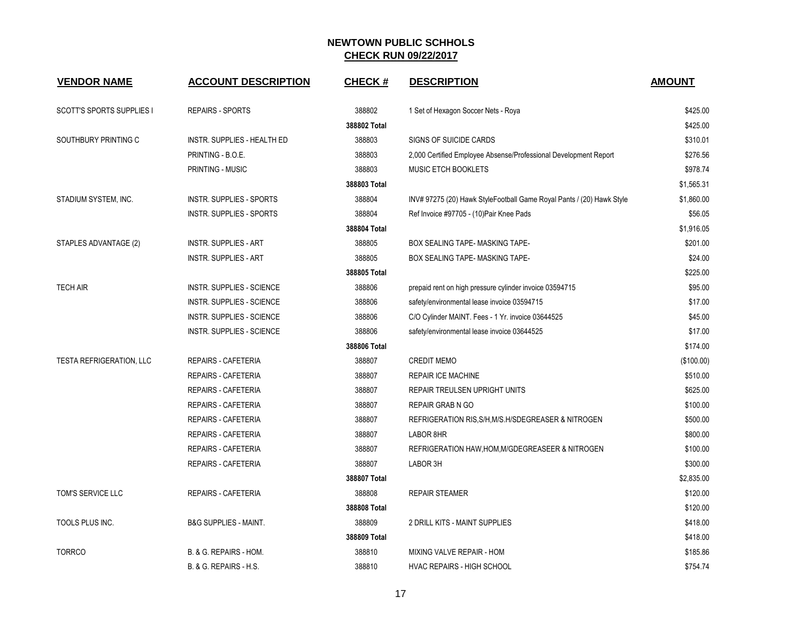| <b>VENDOR NAME</b>               | <b>ACCOUNT DESCRIPTION</b>       | <b>CHECK#</b> | <b>DESCRIPTION</b>                                                    | <b>AMOUNT</b> |
|----------------------------------|----------------------------------|---------------|-----------------------------------------------------------------------|---------------|
| <b>SCOTT'S SPORTS SUPPLIES I</b> | <b>REPAIRS - SPORTS</b>          | 388802        | 1 Set of Hexagon Soccer Nets - Roya                                   | \$425.00      |
|                                  |                                  | 388802 Total  |                                                                       | \$425.00      |
| SOUTHBURY PRINTING C             | INSTR. SUPPLIES - HEALTH ED      | 388803        | <b>SIGNS OF SUICIDE CARDS</b>                                         | \$310.01      |
|                                  | PRINTING - B.O.E.                | 388803        | 2,000 Certified Employee Absense/Professional Development Report      | \$276.56      |
|                                  | PRINTING - MUSIC                 | 388803        | <b>MUSIC ETCH BOOKLETS</b>                                            | \$978.74      |
|                                  |                                  | 388803 Total  |                                                                       | \$1,565.31    |
| STADIUM SYSTEM, INC.             | INSTR. SUPPLIES - SPORTS         | 388804        | INV# 97275 (20) Hawk StyleFootball Game Royal Pants / (20) Hawk Style | \$1,860.00    |
|                                  | INSTR. SUPPLIES - SPORTS         | 388804        | Ref Invoice #97705 - (10) Pair Knee Pads                              | \$56.05       |
|                                  |                                  | 388804 Total  |                                                                       | \$1,916.05    |
| STAPLES ADVANTAGE (2)            | <b>INSTR. SUPPLIES - ART</b>     | 388805        | BOX SEALING TAPE- MASKING TAPE-                                       | \$201.00      |
|                                  | <b>INSTR. SUPPLIES - ART</b>     | 388805        | BOX SEALING TAPE- MASKING TAPE-                                       | \$24.00       |
|                                  |                                  | 388805 Total  |                                                                       | \$225.00      |
| <b>TECH AIR</b>                  | INSTR. SUPPLIES - SCIENCE        | 388806        | prepaid rent on high pressure cylinder invoice 03594715               | \$95.00       |
|                                  | INSTR. SUPPLIES - SCIENCE        | 388806        | safety/environmental lease invoice 03594715                           | \$17.00       |
|                                  | INSTR. SUPPLIES - SCIENCE        | 388806        | C/O Cylinder MAINT. Fees - 1 Yr. invoice 03644525                     | \$45.00       |
|                                  | INSTR. SUPPLIES - SCIENCE        | 388806        | safety/environmental lease invoice 03644525                           | \$17.00       |
|                                  |                                  | 388806 Total  |                                                                       | \$174.00      |
| <b>TESTA REFRIGERATION, LLC</b>  | <b>REPAIRS - CAFETERIA</b>       | 388807        | <b>CREDIT MEMO</b>                                                    | (\$100.00)    |
|                                  | <b>REPAIRS - CAFETERIA</b>       | 388807        | <b>REPAIR ICE MACHINE</b>                                             | \$510.00      |
|                                  | <b>REPAIRS - CAFETERIA</b>       | 388807        | <b>REPAIR TREULSEN UPRIGHT UNITS</b>                                  | \$625.00      |
|                                  | <b>REPAIRS - CAFETERIA</b>       | 388807        | <b>REPAIR GRAB N GO</b>                                               | \$100.00      |
|                                  | <b>REPAIRS - CAFETERIA</b>       | 388807        | REFRIGERATION RIS, S/H, M/S.H/SDEGREASER & NITROGEN                   | \$500.00      |
|                                  | <b>REPAIRS - CAFETERIA</b>       | 388807        | LABOR 8HR                                                             | \$800.00      |
|                                  | <b>REPAIRS - CAFETERIA</b>       | 388807        | REFRIGERATION HAW, HOM, M/GDEGREASEER & NITROGEN                      | \$100.00      |
|                                  | <b>REPAIRS - CAFETERIA</b>       | 388807        | LABOR 3H                                                              | \$300.00      |
|                                  |                                  | 388807 Total  |                                                                       | \$2,835.00    |
| TOM'S SERVICE LLC                | REPAIRS - CAFETERIA              | 388808        | <b>REPAIR STEAMER</b>                                                 | \$120.00      |
|                                  |                                  | 388808 Total  |                                                                       | \$120.00      |
| TOOLS PLUS INC.                  | <b>B&amp;G SUPPLIES - MAINT.</b> | 388809        | 2 DRILL KITS - MAINT SUPPLIES                                         | \$418.00      |
|                                  |                                  | 388809 Total  |                                                                       | \$418.00      |
| <b>TORRCO</b>                    | B. & G. REPAIRS - HOM.           | 388810        | MIXING VALVE REPAIR - HOM                                             | \$185.86      |
|                                  | B. & G. REPAIRS - H.S.           | 388810        | <b>HVAC REPAIRS - HIGH SCHOOL</b>                                     | \$754.74      |